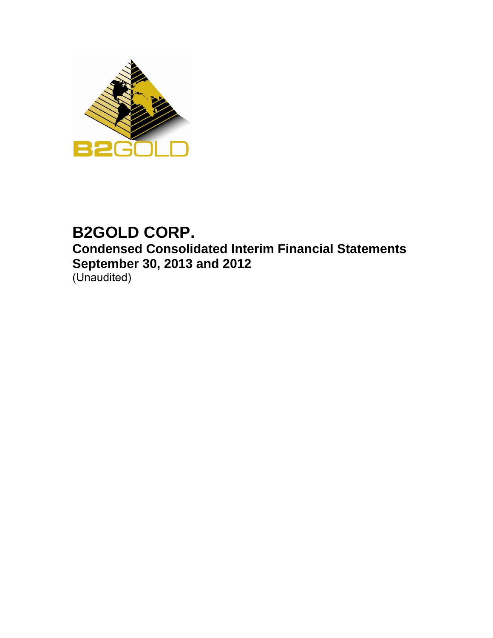

# **B2GOLD CORP. Condensed Consolidated Interim Financial Statements September 30, 2013 and 2012**  (Unaudited)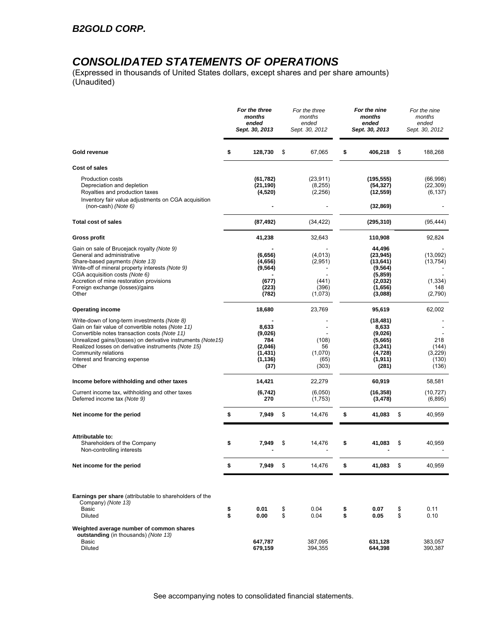# *CONSOLIDATED STATEMENTS OF OPERATIONS*

(Expressed in thousands of United States dollars, except shares and per share amounts) (Unaudited)

|                                                                                                                                                                                                                                                                                                                                             |          | For the three<br>months<br>ended<br>Sept. 30, 2013                 |          | For the three<br>months<br>ended<br>Sept. 30, 2012 |          | For the nine<br>months<br>ended<br>Sept. 30, 2013                                       |          | For the nine<br>months<br>ended<br>Sept. 30, 2012   |
|---------------------------------------------------------------------------------------------------------------------------------------------------------------------------------------------------------------------------------------------------------------------------------------------------------------------------------------------|----------|--------------------------------------------------------------------|----------|----------------------------------------------------|----------|-----------------------------------------------------------------------------------------|----------|-----------------------------------------------------|
| Gold revenue                                                                                                                                                                                                                                                                                                                                | \$       | 128,730                                                            | \$       | 67,065                                             | \$       | 406,218                                                                                 | \$       | 188,268                                             |
| Cost of sales                                                                                                                                                                                                                                                                                                                               |          |                                                                    |          |                                                    |          |                                                                                         |          |                                                     |
| Production costs<br>Depreciation and depletion<br>Royalties and production taxes<br>Inventory fair value adjustments on CGA acquisition                                                                                                                                                                                                     |          | (61, 782)<br>(21, 190)<br>(4,520)                                  |          | (23, 911)<br>(8, 255)<br>(2,256)                   |          | (195, 555)<br>(54, 327)<br>(12, 559)                                                    |          | (66,998)<br>(22, 309)<br>(6, 137)                   |
| (non-cash) $(Note 6)$                                                                                                                                                                                                                                                                                                                       |          |                                                                    |          |                                                    |          | (32, 869)                                                                               |          |                                                     |
| <b>Total cost of sales</b>                                                                                                                                                                                                                                                                                                                  |          | (87, 492)                                                          |          | (34, 422)                                          |          | (295, 310)                                                                              |          | (95, 444)                                           |
| <b>Gross profit</b>                                                                                                                                                                                                                                                                                                                         |          | 41,238                                                             |          | 32,643                                             |          | 110,908                                                                                 |          | 92,824                                              |
| Gain on sale of Brucejack royalty (Note 9)<br>General and administrative<br>Share-based payments (Note 13)<br>Write-off of mineral property interests (Note 9)<br>CGA acquisition costs (Note 6)<br>Accretion of mine restoration provisions<br>Foreign exchange (losses)/gains<br>Other                                                    |          | (6,656)<br>(4,656)<br>(9, 564)<br>(677)<br>(223)<br>(782)          |          | (4,013)<br>(2,951)<br>(441)<br>(396)<br>(1,073)    |          | 44,496<br>(23,945)<br>(13, 641)<br>(9, 564)<br>(5,859)<br>(2,032)<br>(1,656)<br>(3,088) |          | (13,092)<br>(13, 754)<br>(1, 334)<br>148<br>(2,790) |
| <b>Operating income</b>                                                                                                                                                                                                                                                                                                                     |          | 18,680                                                             |          | 23,769                                             |          | 95,619                                                                                  |          | 62,002                                              |
| Write-down of long-term investments (Note 8)<br>Gain on fair value of convertible notes (Note 11)<br>Convertible notes transaction costs (Note 11)<br>Unrealized gains/(losses) on derivative instruments (Note15)<br>Realized losses on derivative instruments (Note 15)<br>Community relations<br>Interest and financing expense<br>Other |          | 8,633<br>(9,026)<br>784<br>(2,046)<br>(1, 431)<br>(1, 136)<br>(37) |          | (108)<br>56<br>(1,070)<br>(65)<br>(303)            |          | (18, 481)<br>8,633<br>(9,026)<br>(5,665)<br>(3,241)<br>(4, 728)<br>(1, 911)<br>(281)    |          | 218<br>(144)<br>(3,229)<br>(130)<br>(136)           |
| Income before withholding and other taxes                                                                                                                                                                                                                                                                                                   |          | 14,421                                                             |          | 22,279                                             |          | 60,919                                                                                  |          | 58,581                                              |
| Current income tax, withholding and other taxes<br>Deferred income tax (Note 9)                                                                                                                                                                                                                                                             |          | (6, 742)<br>270                                                    |          | (6,050)<br>(1,753)                                 |          | (16, 358)<br>(3, 478)                                                                   |          | (10, 727)<br>(6,895)                                |
| Net income for the period                                                                                                                                                                                                                                                                                                                   | \$       | 7,949                                                              | \$       | 14,476                                             | \$       | 41,083                                                                                  | \$       | 40,959                                              |
| Attributable to:<br>Shareholders of the Company<br>Non-controlling interests                                                                                                                                                                                                                                                                | \$       | 7,949                                                              | \$       | 14,476                                             | \$       | 41,083                                                                                  | \$       | 40,959                                              |
| Net income for the period                                                                                                                                                                                                                                                                                                                   | \$       | 7,949                                                              | \$       | 14,476                                             | ¢        | 41,083                                                                                  | \$       | 40,959                                              |
| <b>Earnings per share</b> (attributable to shareholders of the<br>Company) (Note 13)<br>Basic<br>Diluted                                                                                                                                                                                                                                    | \$<br>\$ | 0.01<br>0.00                                                       | \$<br>\$ | 0.04<br>0.04                                       | \$<br>\$ | 0.07<br>0.05                                                                            | \$<br>\$ | 0.11<br>0.10                                        |
| Weighted average number of common shares<br>outstanding (in thousands) (Note 13)<br>Basic<br><b>Diluted</b>                                                                                                                                                                                                                                 |          | 647,787<br>679,159                                                 |          | 387,095<br>394,355                                 |          | 631,128<br>644,398                                                                      |          | 383.057<br>390,387                                  |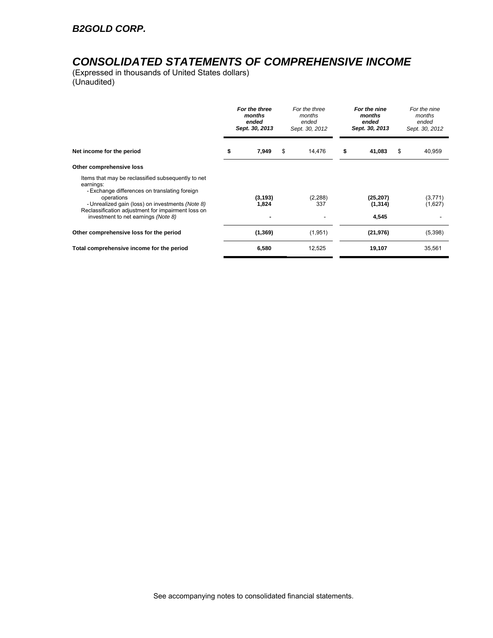# *CONSOLIDATED STATEMENTS OF COMPREHENSIVE INCOME*

(Expressed in thousands of United States dollars) (Unaudited)

|                                                                                                                  | For the three<br>months<br>ended<br>Sept. 30, 2013 |          | For the three<br>months<br>ended<br>Sept. 30, 2012 |    | For the nine<br>months<br>ended<br>Sept. 30, 2013 |    | For the nine<br>months<br>ended<br>Sept. 30, 2012 |
|------------------------------------------------------------------------------------------------------------------|----------------------------------------------------|----------|----------------------------------------------------|----|---------------------------------------------------|----|---------------------------------------------------|
| Net income for the period                                                                                        | \$                                                 | 7,949    | \$<br>14,476                                       | \$ | 41,083                                            | \$ | 40,959                                            |
| Other comprehensive loss                                                                                         |                                                    |          |                                                    |    |                                                   |    |                                                   |
| Items that may be reclassified subsequently to net<br>earnings:<br>- Exchange differences on translating foreign |                                                    |          |                                                    |    |                                                   |    |                                                   |
| operations                                                                                                       |                                                    | (3, 193) | (2, 288)                                           |    | (25, 207)                                         |    | (3,771)                                           |
| - Unrealized gain (loss) on investments (Note 8)<br>Reclassification adjustment for impairment loss on           |                                                    | 1,824    | 337                                                |    | (1, 314)                                          |    | (1,627)                                           |
| investment to net earnings (Note 8)                                                                              |                                                    |          |                                                    |    | 4,545                                             |    |                                                   |
| Other comprehensive loss for the period                                                                          |                                                    | (1, 369) | (1,951)                                            |    | (21, 976)                                         |    | (5,398)                                           |
| Total comprehensive income for the period                                                                        |                                                    | 6,580    | 12,525                                             |    | 19,107                                            |    | 35,561                                            |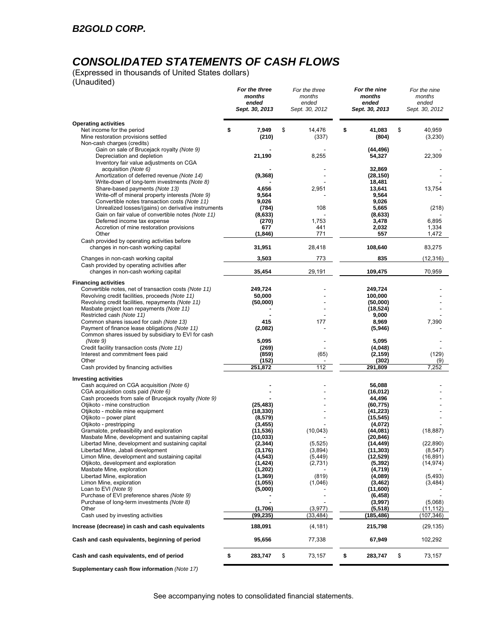# *CONSOLIDATED STATEMENTS OF CASH FLOWS*

(Expressed in thousands of United States dollars) (Unaudited)

| <b>Operating activities</b><br>\$<br>7,949<br>14,476<br>\$<br>41,083<br>40,959<br>Net income for the period<br>\$<br>\$<br>Mine restoration provisions settled<br>(210)<br>(804)<br>(3,230)<br>(337)<br>Non-cash charges (credits)<br>Gain on sale of Brucejack royalty (Note 9)<br>(44, 496)<br>Depreciation and depletion<br>21,190<br>8,255<br>54,327<br>22,309<br>Inventory fair value adjustments on CGA<br>acquisition (Note 6)<br>32,869<br>Amortization of deferred revenue (Note 14)<br>(9,368)<br>(28, 150)<br>Write-down of long-term investments (Note 8)<br>18,481<br>Share-based payments (Note 13)<br>2,951<br>4,656<br>13,641<br>13,754<br>Write-off of mineral property interests (Note 9)<br>9,564<br>9,564<br>Convertible notes transaction costs (Note 11)<br>9,026<br>9,026<br>Unrealized losses/(gains) on derivative instruments<br>108<br>5,665<br>(784)<br>(218)<br>Gain on fair value of convertible notes (Note 11)<br>(8,633)<br>(8,633)<br>Deferred income tax expense<br>1,753<br>3,478<br>6,895<br>(270)<br>1,334<br>Accretion of mine restoration provisions<br>677<br>441<br>2,032<br>Other<br>771<br>557<br>1,472<br>(1, 846)<br>Cash provided by operating activities before<br>changes in non-cash working capital<br>31,951<br>28,418<br>108,640<br>83,275<br>Changes in non-cash working capital<br>3,503<br>773<br>835<br>(12, 316)<br>Cash provided by operating activities after<br>29,191<br>70,959<br>changes in non-cash working capital<br>35,454<br>109,475<br><b>Financing activities</b><br>Convertible notes, net of transaction costs (Note 11)<br>249,724<br>249,724<br>50,000<br>Revolving credit facilities, proceeds (Note 11)<br>100.000<br>Revolving credit facilities, repayments (Note 11)<br>(50,000)<br>(50,000)<br>Masbate project loan repayments (Note 11)<br>(18, 524)<br>Restricted cash (Note 11)<br>9,000<br>Common shares issued for cash (Note 13)<br>177<br>415<br>8,969<br>7,390<br>Payment of finance lease obligations (Note 11)<br>(2,082)<br>(5,946)<br>Common shares issued by subsidiary to EVI for cash<br>(Note 9)<br>5,095<br>5,095<br>Credit facility transaction costs (Note 11)<br>(4,048)<br>(269)<br>(129)<br>Interest and commitment fees paid<br>(65)<br>(2, 159)<br>(859)<br>Other<br>(152)<br>(302)<br>(9)<br>251,872<br>112<br>7,252<br>Cash provided by financing activities<br>291,809<br><b>Investing activities</b><br>Cash acquired on CGA acquisition (Note 6)<br>56,088<br>CGA acquisition costs paid (Note 6)<br>(16, 012)<br>Cash proceeds from sale of Brucejack royalty (Note 9)<br>44,496<br>Otjikoto - mine construction<br>(25, 483)<br>(60, 775)<br>Otjikoto - mobile mine equipment<br>(18, 330)<br>(41, 223)<br>Otjikoto – power plant<br>(8,579)<br>(15, 545)<br>Otjikoto - prestripping<br>(3, 455)<br>(4,072)<br>Gramalote, prefeasibility and exploration<br>(11,536)<br>(10, 043)<br>(44,081)<br>(18, 887)<br>Masbate Mine, development and sustaining capital<br>(10, 033)<br>(20, 846)<br>Libertad Mine, development and sustaining capital<br>(5, 525)<br>(22, 890)<br>(2, 344)<br>(14, 449)<br>Libertad Mine, Jabali development<br>(3,176)<br>(3,894)<br>(11,303)<br>(8,54/)<br>Limon Mine, development and sustaining capital<br>(4,543)<br>(5, 449)<br>(12, 529)<br>(16,891)<br>Otjikoto, development and exploration<br>(1, 424)<br>(14, 974)<br>(2,731)<br>(5, 392)<br>Masbate Mine, exploration<br>(1,202)<br>(4,719)<br>Libertad Mine, exploration<br>(1, 369)<br>(819)<br>(5, 493)<br>(4,089)<br>Limon Mine, exploration<br>(1,055)<br>(1,046)<br>(3, 462)<br>(3, 484)<br>Loan to EVI (Note 9)<br>(5,000)<br>(11,600)<br>Purchase of EVI preference shares (Note 9)<br>(6,458)<br>Purchase of long-term investments (Note 8)<br>(3,997)<br>(5,068)<br>(1,706)<br>(3,977)<br>Other<br>(5,518)<br>(11, 112)<br>Cash used by investing activities<br>(99,235)<br>(33, 484)<br>(185,486)<br>(107,346)<br>Increase (decrease) in cash and cash equivalents<br>188,091<br>215,798<br>(4, 181)<br>(29, 135)<br>Cash and cash equivalents, beginning of period<br>77,338<br>95,656<br>67,949<br>102,292<br>\$<br>Cash and cash equivalents, end of period<br>\$<br>\$<br>283,747<br>283,747<br>73,157<br>\$<br>73,157 |  | For the three<br>months<br>ended<br>Sept. 30, 2013 | For the three<br>months<br>ended<br>Sept. 30, 2012 | For the nine<br>months<br>ended<br>Sept. 30, 2013 | For the nine<br>months<br>ended<br>Sept. 30, 2012 |
|-------------------------------------------------------------------------------------------------------------------------------------------------------------------------------------------------------------------------------------------------------------------------------------------------------------------------------------------------------------------------------------------------------------------------------------------------------------------------------------------------------------------------------------------------------------------------------------------------------------------------------------------------------------------------------------------------------------------------------------------------------------------------------------------------------------------------------------------------------------------------------------------------------------------------------------------------------------------------------------------------------------------------------------------------------------------------------------------------------------------------------------------------------------------------------------------------------------------------------------------------------------------------------------------------------------------------------------------------------------------------------------------------------------------------------------------------------------------------------------------------------------------------------------------------------------------------------------------------------------------------------------------------------------------------------------------------------------------------------------------------------------------------------------------------------------------------------------------------------------------------------------------------------------------------------------------------------------------------------------------------------------------------------------------------------------------------------------------------------------------------------------------------------------------------------------------------------------------------------------------------------------------------------------------------------------------------------------------------------------------------------------------------------------------------------------------------------------------------------------------------------------------------------------------------------------------------------------------------------------------------------------------------------------------------------------------------------------------------------------------------------------------------------------------------------------------------------------------------------------------------------------------------------------------------------------------------------------------------------------------------------------------------------------------------------------------------------------------------------------------------------------------------------------------------------------------------------------------------------------------------------------------------------------------------------------------------------------------------------------------------------------------------------------------------------------------------------------------------------------------------------------------------------------------------------------------------------------------------------------------------------------------------------------------------------------------------------------------------------------------------------------------------------------------------------------------------------------------------------------------------------------------------------------------------------------------------------------------------------------------------------------------------------------------------------------------------------------------------------------------------------------------------------------------------------------------------------------------------------------------|--|----------------------------------------------------|----------------------------------------------------|---------------------------------------------------|---------------------------------------------------|
|                                                                                                                                                                                                                                                                                                                                                                                                                                                                                                                                                                                                                                                                                                                                                                                                                                                                                                                                                                                                                                                                                                                                                                                                                                                                                                                                                                                                                                                                                                                                                                                                                                                                                                                                                                                                                                                                                                                                                                                                                                                                                                                                                                                                                                                                                                                                                                                                                                                                                                                                                                                                                                                                                                                                                                                                                                                                                                                                                                                                                                                                                                                                                                                                                                                                                                                                                                                                                                                                                                                                                                                                                                                                                                                                                                                                                                                                                                                                                                                                                                                                                                                                                                                                                                           |  |                                                    |                                                    |                                                   |                                                   |
|                                                                                                                                                                                                                                                                                                                                                                                                                                                                                                                                                                                                                                                                                                                                                                                                                                                                                                                                                                                                                                                                                                                                                                                                                                                                                                                                                                                                                                                                                                                                                                                                                                                                                                                                                                                                                                                                                                                                                                                                                                                                                                                                                                                                                                                                                                                                                                                                                                                                                                                                                                                                                                                                                                                                                                                                                                                                                                                                                                                                                                                                                                                                                                                                                                                                                                                                                                                                                                                                                                                                                                                                                                                                                                                                                                                                                                                                                                                                                                                                                                                                                                                                                                                                                                           |  |                                                    |                                                    |                                                   |                                                   |
|                                                                                                                                                                                                                                                                                                                                                                                                                                                                                                                                                                                                                                                                                                                                                                                                                                                                                                                                                                                                                                                                                                                                                                                                                                                                                                                                                                                                                                                                                                                                                                                                                                                                                                                                                                                                                                                                                                                                                                                                                                                                                                                                                                                                                                                                                                                                                                                                                                                                                                                                                                                                                                                                                                                                                                                                                                                                                                                                                                                                                                                                                                                                                                                                                                                                                                                                                                                                                                                                                                                                                                                                                                                                                                                                                                                                                                                                                                                                                                                                                                                                                                                                                                                                                                           |  |                                                    |                                                    |                                                   |                                                   |
|                                                                                                                                                                                                                                                                                                                                                                                                                                                                                                                                                                                                                                                                                                                                                                                                                                                                                                                                                                                                                                                                                                                                                                                                                                                                                                                                                                                                                                                                                                                                                                                                                                                                                                                                                                                                                                                                                                                                                                                                                                                                                                                                                                                                                                                                                                                                                                                                                                                                                                                                                                                                                                                                                                                                                                                                                                                                                                                                                                                                                                                                                                                                                                                                                                                                                                                                                                                                                                                                                                                                                                                                                                                                                                                                                                                                                                                                                                                                                                                                                                                                                                                                                                                                                                           |  |                                                    |                                                    |                                                   |                                                   |
|                                                                                                                                                                                                                                                                                                                                                                                                                                                                                                                                                                                                                                                                                                                                                                                                                                                                                                                                                                                                                                                                                                                                                                                                                                                                                                                                                                                                                                                                                                                                                                                                                                                                                                                                                                                                                                                                                                                                                                                                                                                                                                                                                                                                                                                                                                                                                                                                                                                                                                                                                                                                                                                                                                                                                                                                                                                                                                                                                                                                                                                                                                                                                                                                                                                                                                                                                                                                                                                                                                                                                                                                                                                                                                                                                                                                                                                                                                                                                                                                                                                                                                                                                                                                                                           |  |                                                    |                                                    |                                                   |                                                   |
|                                                                                                                                                                                                                                                                                                                                                                                                                                                                                                                                                                                                                                                                                                                                                                                                                                                                                                                                                                                                                                                                                                                                                                                                                                                                                                                                                                                                                                                                                                                                                                                                                                                                                                                                                                                                                                                                                                                                                                                                                                                                                                                                                                                                                                                                                                                                                                                                                                                                                                                                                                                                                                                                                                                                                                                                                                                                                                                                                                                                                                                                                                                                                                                                                                                                                                                                                                                                                                                                                                                                                                                                                                                                                                                                                                                                                                                                                                                                                                                                                                                                                                                                                                                                                                           |  |                                                    |                                                    |                                                   |                                                   |
|                                                                                                                                                                                                                                                                                                                                                                                                                                                                                                                                                                                                                                                                                                                                                                                                                                                                                                                                                                                                                                                                                                                                                                                                                                                                                                                                                                                                                                                                                                                                                                                                                                                                                                                                                                                                                                                                                                                                                                                                                                                                                                                                                                                                                                                                                                                                                                                                                                                                                                                                                                                                                                                                                                                                                                                                                                                                                                                                                                                                                                                                                                                                                                                                                                                                                                                                                                                                                                                                                                                                                                                                                                                                                                                                                                                                                                                                                                                                                                                                                                                                                                                                                                                                                                           |  |                                                    |                                                    |                                                   |                                                   |
|                                                                                                                                                                                                                                                                                                                                                                                                                                                                                                                                                                                                                                                                                                                                                                                                                                                                                                                                                                                                                                                                                                                                                                                                                                                                                                                                                                                                                                                                                                                                                                                                                                                                                                                                                                                                                                                                                                                                                                                                                                                                                                                                                                                                                                                                                                                                                                                                                                                                                                                                                                                                                                                                                                                                                                                                                                                                                                                                                                                                                                                                                                                                                                                                                                                                                                                                                                                                                                                                                                                                                                                                                                                                                                                                                                                                                                                                                                                                                                                                                                                                                                                                                                                                                                           |  |                                                    |                                                    |                                                   |                                                   |
|                                                                                                                                                                                                                                                                                                                                                                                                                                                                                                                                                                                                                                                                                                                                                                                                                                                                                                                                                                                                                                                                                                                                                                                                                                                                                                                                                                                                                                                                                                                                                                                                                                                                                                                                                                                                                                                                                                                                                                                                                                                                                                                                                                                                                                                                                                                                                                                                                                                                                                                                                                                                                                                                                                                                                                                                                                                                                                                                                                                                                                                                                                                                                                                                                                                                                                                                                                                                                                                                                                                                                                                                                                                                                                                                                                                                                                                                                                                                                                                                                                                                                                                                                                                                                                           |  |                                                    |                                                    |                                                   |                                                   |
|                                                                                                                                                                                                                                                                                                                                                                                                                                                                                                                                                                                                                                                                                                                                                                                                                                                                                                                                                                                                                                                                                                                                                                                                                                                                                                                                                                                                                                                                                                                                                                                                                                                                                                                                                                                                                                                                                                                                                                                                                                                                                                                                                                                                                                                                                                                                                                                                                                                                                                                                                                                                                                                                                                                                                                                                                                                                                                                                                                                                                                                                                                                                                                                                                                                                                                                                                                                                                                                                                                                                                                                                                                                                                                                                                                                                                                                                                                                                                                                                                                                                                                                                                                                                                                           |  |                                                    |                                                    |                                                   |                                                   |
|                                                                                                                                                                                                                                                                                                                                                                                                                                                                                                                                                                                                                                                                                                                                                                                                                                                                                                                                                                                                                                                                                                                                                                                                                                                                                                                                                                                                                                                                                                                                                                                                                                                                                                                                                                                                                                                                                                                                                                                                                                                                                                                                                                                                                                                                                                                                                                                                                                                                                                                                                                                                                                                                                                                                                                                                                                                                                                                                                                                                                                                                                                                                                                                                                                                                                                                                                                                                                                                                                                                                                                                                                                                                                                                                                                                                                                                                                                                                                                                                                                                                                                                                                                                                                                           |  |                                                    |                                                    |                                                   |                                                   |
|                                                                                                                                                                                                                                                                                                                                                                                                                                                                                                                                                                                                                                                                                                                                                                                                                                                                                                                                                                                                                                                                                                                                                                                                                                                                                                                                                                                                                                                                                                                                                                                                                                                                                                                                                                                                                                                                                                                                                                                                                                                                                                                                                                                                                                                                                                                                                                                                                                                                                                                                                                                                                                                                                                                                                                                                                                                                                                                                                                                                                                                                                                                                                                                                                                                                                                                                                                                                                                                                                                                                                                                                                                                                                                                                                                                                                                                                                                                                                                                                                                                                                                                                                                                                                                           |  |                                                    |                                                    |                                                   |                                                   |
|                                                                                                                                                                                                                                                                                                                                                                                                                                                                                                                                                                                                                                                                                                                                                                                                                                                                                                                                                                                                                                                                                                                                                                                                                                                                                                                                                                                                                                                                                                                                                                                                                                                                                                                                                                                                                                                                                                                                                                                                                                                                                                                                                                                                                                                                                                                                                                                                                                                                                                                                                                                                                                                                                                                                                                                                                                                                                                                                                                                                                                                                                                                                                                                                                                                                                                                                                                                                                                                                                                                                                                                                                                                                                                                                                                                                                                                                                                                                                                                                                                                                                                                                                                                                                                           |  |                                                    |                                                    |                                                   |                                                   |
|                                                                                                                                                                                                                                                                                                                                                                                                                                                                                                                                                                                                                                                                                                                                                                                                                                                                                                                                                                                                                                                                                                                                                                                                                                                                                                                                                                                                                                                                                                                                                                                                                                                                                                                                                                                                                                                                                                                                                                                                                                                                                                                                                                                                                                                                                                                                                                                                                                                                                                                                                                                                                                                                                                                                                                                                                                                                                                                                                                                                                                                                                                                                                                                                                                                                                                                                                                                                                                                                                                                                                                                                                                                                                                                                                                                                                                                                                                                                                                                                                                                                                                                                                                                                                                           |  |                                                    |                                                    |                                                   |                                                   |
|                                                                                                                                                                                                                                                                                                                                                                                                                                                                                                                                                                                                                                                                                                                                                                                                                                                                                                                                                                                                                                                                                                                                                                                                                                                                                                                                                                                                                                                                                                                                                                                                                                                                                                                                                                                                                                                                                                                                                                                                                                                                                                                                                                                                                                                                                                                                                                                                                                                                                                                                                                                                                                                                                                                                                                                                                                                                                                                                                                                                                                                                                                                                                                                                                                                                                                                                                                                                                                                                                                                                                                                                                                                                                                                                                                                                                                                                                                                                                                                                                                                                                                                                                                                                                                           |  |                                                    |                                                    |                                                   |                                                   |
|                                                                                                                                                                                                                                                                                                                                                                                                                                                                                                                                                                                                                                                                                                                                                                                                                                                                                                                                                                                                                                                                                                                                                                                                                                                                                                                                                                                                                                                                                                                                                                                                                                                                                                                                                                                                                                                                                                                                                                                                                                                                                                                                                                                                                                                                                                                                                                                                                                                                                                                                                                                                                                                                                                                                                                                                                                                                                                                                                                                                                                                                                                                                                                                                                                                                                                                                                                                                                                                                                                                                                                                                                                                                                                                                                                                                                                                                                                                                                                                                                                                                                                                                                                                                                                           |  |                                                    |                                                    |                                                   |                                                   |
|                                                                                                                                                                                                                                                                                                                                                                                                                                                                                                                                                                                                                                                                                                                                                                                                                                                                                                                                                                                                                                                                                                                                                                                                                                                                                                                                                                                                                                                                                                                                                                                                                                                                                                                                                                                                                                                                                                                                                                                                                                                                                                                                                                                                                                                                                                                                                                                                                                                                                                                                                                                                                                                                                                                                                                                                                                                                                                                                                                                                                                                                                                                                                                                                                                                                                                                                                                                                                                                                                                                                                                                                                                                                                                                                                                                                                                                                                                                                                                                                                                                                                                                                                                                                                                           |  |                                                    |                                                    |                                                   |                                                   |
|                                                                                                                                                                                                                                                                                                                                                                                                                                                                                                                                                                                                                                                                                                                                                                                                                                                                                                                                                                                                                                                                                                                                                                                                                                                                                                                                                                                                                                                                                                                                                                                                                                                                                                                                                                                                                                                                                                                                                                                                                                                                                                                                                                                                                                                                                                                                                                                                                                                                                                                                                                                                                                                                                                                                                                                                                                                                                                                                                                                                                                                                                                                                                                                                                                                                                                                                                                                                                                                                                                                                                                                                                                                                                                                                                                                                                                                                                                                                                                                                                                                                                                                                                                                                                                           |  |                                                    |                                                    |                                                   |                                                   |
|                                                                                                                                                                                                                                                                                                                                                                                                                                                                                                                                                                                                                                                                                                                                                                                                                                                                                                                                                                                                                                                                                                                                                                                                                                                                                                                                                                                                                                                                                                                                                                                                                                                                                                                                                                                                                                                                                                                                                                                                                                                                                                                                                                                                                                                                                                                                                                                                                                                                                                                                                                                                                                                                                                                                                                                                                                                                                                                                                                                                                                                                                                                                                                                                                                                                                                                                                                                                                                                                                                                                                                                                                                                                                                                                                                                                                                                                                                                                                                                                                                                                                                                                                                                                                                           |  |                                                    |                                                    |                                                   |                                                   |
|                                                                                                                                                                                                                                                                                                                                                                                                                                                                                                                                                                                                                                                                                                                                                                                                                                                                                                                                                                                                                                                                                                                                                                                                                                                                                                                                                                                                                                                                                                                                                                                                                                                                                                                                                                                                                                                                                                                                                                                                                                                                                                                                                                                                                                                                                                                                                                                                                                                                                                                                                                                                                                                                                                                                                                                                                                                                                                                                                                                                                                                                                                                                                                                                                                                                                                                                                                                                                                                                                                                                                                                                                                                                                                                                                                                                                                                                                                                                                                                                                                                                                                                                                                                                                                           |  |                                                    |                                                    |                                                   |                                                   |
|                                                                                                                                                                                                                                                                                                                                                                                                                                                                                                                                                                                                                                                                                                                                                                                                                                                                                                                                                                                                                                                                                                                                                                                                                                                                                                                                                                                                                                                                                                                                                                                                                                                                                                                                                                                                                                                                                                                                                                                                                                                                                                                                                                                                                                                                                                                                                                                                                                                                                                                                                                                                                                                                                                                                                                                                                                                                                                                                                                                                                                                                                                                                                                                                                                                                                                                                                                                                                                                                                                                                                                                                                                                                                                                                                                                                                                                                                                                                                                                                                                                                                                                                                                                                                                           |  |                                                    |                                                    |                                                   |                                                   |
|                                                                                                                                                                                                                                                                                                                                                                                                                                                                                                                                                                                                                                                                                                                                                                                                                                                                                                                                                                                                                                                                                                                                                                                                                                                                                                                                                                                                                                                                                                                                                                                                                                                                                                                                                                                                                                                                                                                                                                                                                                                                                                                                                                                                                                                                                                                                                                                                                                                                                                                                                                                                                                                                                                                                                                                                                                                                                                                                                                                                                                                                                                                                                                                                                                                                                                                                                                                                                                                                                                                                                                                                                                                                                                                                                                                                                                                                                                                                                                                                                                                                                                                                                                                                                                           |  |                                                    |                                                    |                                                   |                                                   |
|                                                                                                                                                                                                                                                                                                                                                                                                                                                                                                                                                                                                                                                                                                                                                                                                                                                                                                                                                                                                                                                                                                                                                                                                                                                                                                                                                                                                                                                                                                                                                                                                                                                                                                                                                                                                                                                                                                                                                                                                                                                                                                                                                                                                                                                                                                                                                                                                                                                                                                                                                                                                                                                                                                                                                                                                                                                                                                                                                                                                                                                                                                                                                                                                                                                                                                                                                                                                                                                                                                                                                                                                                                                                                                                                                                                                                                                                                                                                                                                                                                                                                                                                                                                                                                           |  |                                                    |                                                    |                                                   |                                                   |
|                                                                                                                                                                                                                                                                                                                                                                                                                                                                                                                                                                                                                                                                                                                                                                                                                                                                                                                                                                                                                                                                                                                                                                                                                                                                                                                                                                                                                                                                                                                                                                                                                                                                                                                                                                                                                                                                                                                                                                                                                                                                                                                                                                                                                                                                                                                                                                                                                                                                                                                                                                                                                                                                                                                                                                                                                                                                                                                                                                                                                                                                                                                                                                                                                                                                                                                                                                                                                                                                                                                                                                                                                                                                                                                                                                                                                                                                                                                                                                                                                                                                                                                                                                                                                                           |  |                                                    |                                                    |                                                   |                                                   |
|                                                                                                                                                                                                                                                                                                                                                                                                                                                                                                                                                                                                                                                                                                                                                                                                                                                                                                                                                                                                                                                                                                                                                                                                                                                                                                                                                                                                                                                                                                                                                                                                                                                                                                                                                                                                                                                                                                                                                                                                                                                                                                                                                                                                                                                                                                                                                                                                                                                                                                                                                                                                                                                                                                                                                                                                                                                                                                                                                                                                                                                                                                                                                                                                                                                                                                                                                                                                                                                                                                                                                                                                                                                                                                                                                                                                                                                                                                                                                                                                                                                                                                                                                                                                                                           |  |                                                    |                                                    |                                                   |                                                   |
|                                                                                                                                                                                                                                                                                                                                                                                                                                                                                                                                                                                                                                                                                                                                                                                                                                                                                                                                                                                                                                                                                                                                                                                                                                                                                                                                                                                                                                                                                                                                                                                                                                                                                                                                                                                                                                                                                                                                                                                                                                                                                                                                                                                                                                                                                                                                                                                                                                                                                                                                                                                                                                                                                                                                                                                                                                                                                                                                                                                                                                                                                                                                                                                                                                                                                                                                                                                                                                                                                                                                                                                                                                                                                                                                                                                                                                                                                                                                                                                                                                                                                                                                                                                                                                           |  |                                                    |                                                    |                                                   |                                                   |
|                                                                                                                                                                                                                                                                                                                                                                                                                                                                                                                                                                                                                                                                                                                                                                                                                                                                                                                                                                                                                                                                                                                                                                                                                                                                                                                                                                                                                                                                                                                                                                                                                                                                                                                                                                                                                                                                                                                                                                                                                                                                                                                                                                                                                                                                                                                                                                                                                                                                                                                                                                                                                                                                                                                                                                                                                                                                                                                                                                                                                                                                                                                                                                                                                                                                                                                                                                                                                                                                                                                                                                                                                                                                                                                                                                                                                                                                                                                                                                                                                                                                                                                                                                                                                                           |  |                                                    |                                                    |                                                   |                                                   |
|                                                                                                                                                                                                                                                                                                                                                                                                                                                                                                                                                                                                                                                                                                                                                                                                                                                                                                                                                                                                                                                                                                                                                                                                                                                                                                                                                                                                                                                                                                                                                                                                                                                                                                                                                                                                                                                                                                                                                                                                                                                                                                                                                                                                                                                                                                                                                                                                                                                                                                                                                                                                                                                                                                                                                                                                                                                                                                                                                                                                                                                                                                                                                                                                                                                                                                                                                                                                                                                                                                                                                                                                                                                                                                                                                                                                                                                                                                                                                                                                                                                                                                                                                                                                                                           |  |                                                    |                                                    |                                                   |                                                   |
|                                                                                                                                                                                                                                                                                                                                                                                                                                                                                                                                                                                                                                                                                                                                                                                                                                                                                                                                                                                                                                                                                                                                                                                                                                                                                                                                                                                                                                                                                                                                                                                                                                                                                                                                                                                                                                                                                                                                                                                                                                                                                                                                                                                                                                                                                                                                                                                                                                                                                                                                                                                                                                                                                                                                                                                                                                                                                                                                                                                                                                                                                                                                                                                                                                                                                                                                                                                                                                                                                                                                                                                                                                                                                                                                                                                                                                                                                                                                                                                                                                                                                                                                                                                                                                           |  |                                                    |                                                    |                                                   |                                                   |
|                                                                                                                                                                                                                                                                                                                                                                                                                                                                                                                                                                                                                                                                                                                                                                                                                                                                                                                                                                                                                                                                                                                                                                                                                                                                                                                                                                                                                                                                                                                                                                                                                                                                                                                                                                                                                                                                                                                                                                                                                                                                                                                                                                                                                                                                                                                                                                                                                                                                                                                                                                                                                                                                                                                                                                                                                                                                                                                                                                                                                                                                                                                                                                                                                                                                                                                                                                                                                                                                                                                                                                                                                                                                                                                                                                                                                                                                                                                                                                                                                                                                                                                                                                                                                                           |  |                                                    |                                                    |                                                   |                                                   |
|                                                                                                                                                                                                                                                                                                                                                                                                                                                                                                                                                                                                                                                                                                                                                                                                                                                                                                                                                                                                                                                                                                                                                                                                                                                                                                                                                                                                                                                                                                                                                                                                                                                                                                                                                                                                                                                                                                                                                                                                                                                                                                                                                                                                                                                                                                                                                                                                                                                                                                                                                                                                                                                                                                                                                                                                                                                                                                                                                                                                                                                                                                                                                                                                                                                                                                                                                                                                                                                                                                                                                                                                                                                                                                                                                                                                                                                                                                                                                                                                                                                                                                                                                                                                                                           |  |                                                    |                                                    |                                                   |                                                   |
|                                                                                                                                                                                                                                                                                                                                                                                                                                                                                                                                                                                                                                                                                                                                                                                                                                                                                                                                                                                                                                                                                                                                                                                                                                                                                                                                                                                                                                                                                                                                                                                                                                                                                                                                                                                                                                                                                                                                                                                                                                                                                                                                                                                                                                                                                                                                                                                                                                                                                                                                                                                                                                                                                                                                                                                                                                                                                                                                                                                                                                                                                                                                                                                                                                                                                                                                                                                                                                                                                                                                                                                                                                                                                                                                                                                                                                                                                                                                                                                                                                                                                                                                                                                                                                           |  |                                                    |                                                    |                                                   |                                                   |
|                                                                                                                                                                                                                                                                                                                                                                                                                                                                                                                                                                                                                                                                                                                                                                                                                                                                                                                                                                                                                                                                                                                                                                                                                                                                                                                                                                                                                                                                                                                                                                                                                                                                                                                                                                                                                                                                                                                                                                                                                                                                                                                                                                                                                                                                                                                                                                                                                                                                                                                                                                                                                                                                                                                                                                                                                                                                                                                                                                                                                                                                                                                                                                                                                                                                                                                                                                                                                                                                                                                                                                                                                                                                                                                                                                                                                                                                                                                                                                                                                                                                                                                                                                                                                                           |  |                                                    |                                                    |                                                   |                                                   |
|                                                                                                                                                                                                                                                                                                                                                                                                                                                                                                                                                                                                                                                                                                                                                                                                                                                                                                                                                                                                                                                                                                                                                                                                                                                                                                                                                                                                                                                                                                                                                                                                                                                                                                                                                                                                                                                                                                                                                                                                                                                                                                                                                                                                                                                                                                                                                                                                                                                                                                                                                                                                                                                                                                                                                                                                                                                                                                                                                                                                                                                                                                                                                                                                                                                                                                                                                                                                                                                                                                                                                                                                                                                                                                                                                                                                                                                                                                                                                                                                                                                                                                                                                                                                                                           |  |                                                    |                                                    |                                                   |                                                   |
|                                                                                                                                                                                                                                                                                                                                                                                                                                                                                                                                                                                                                                                                                                                                                                                                                                                                                                                                                                                                                                                                                                                                                                                                                                                                                                                                                                                                                                                                                                                                                                                                                                                                                                                                                                                                                                                                                                                                                                                                                                                                                                                                                                                                                                                                                                                                                                                                                                                                                                                                                                                                                                                                                                                                                                                                                                                                                                                                                                                                                                                                                                                                                                                                                                                                                                                                                                                                                                                                                                                                                                                                                                                                                                                                                                                                                                                                                                                                                                                                                                                                                                                                                                                                                                           |  |                                                    |                                                    |                                                   |                                                   |
|                                                                                                                                                                                                                                                                                                                                                                                                                                                                                                                                                                                                                                                                                                                                                                                                                                                                                                                                                                                                                                                                                                                                                                                                                                                                                                                                                                                                                                                                                                                                                                                                                                                                                                                                                                                                                                                                                                                                                                                                                                                                                                                                                                                                                                                                                                                                                                                                                                                                                                                                                                                                                                                                                                                                                                                                                                                                                                                                                                                                                                                                                                                                                                                                                                                                                                                                                                                                                                                                                                                                                                                                                                                                                                                                                                                                                                                                                                                                                                                                                                                                                                                                                                                                                                           |  |                                                    |                                                    |                                                   |                                                   |
|                                                                                                                                                                                                                                                                                                                                                                                                                                                                                                                                                                                                                                                                                                                                                                                                                                                                                                                                                                                                                                                                                                                                                                                                                                                                                                                                                                                                                                                                                                                                                                                                                                                                                                                                                                                                                                                                                                                                                                                                                                                                                                                                                                                                                                                                                                                                                                                                                                                                                                                                                                                                                                                                                                                                                                                                                                                                                                                                                                                                                                                                                                                                                                                                                                                                                                                                                                                                                                                                                                                                                                                                                                                                                                                                                                                                                                                                                                                                                                                                                                                                                                                                                                                                                                           |  |                                                    |                                                    |                                                   |                                                   |
|                                                                                                                                                                                                                                                                                                                                                                                                                                                                                                                                                                                                                                                                                                                                                                                                                                                                                                                                                                                                                                                                                                                                                                                                                                                                                                                                                                                                                                                                                                                                                                                                                                                                                                                                                                                                                                                                                                                                                                                                                                                                                                                                                                                                                                                                                                                                                                                                                                                                                                                                                                                                                                                                                                                                                                                                                                                                                                                                                                                                                                                                                                                                                                                                                                                                                                                                                                                                                                                                                                                                                                                                                                                                                                                                                                                                                                                                                                                                                                                                                                                                                                                                                                                                                                           |  |                                                    |                                                    |                                                   |                                                   |
|                                                                                                                                                                                                                                                                                                                                                                                                                                                                                                                                                                                                                                                                                                                                                                                                                                                                                                                                                                                                                                                                                                                                                                                                                                                                                                                                                                                                                                                                                                                                                                                                                                                                                                                                                                                                                                                                                                                                                                                                                                                                                                                                                                                                                                                                                                                                                                                                                                                                                                                                                                                                                                                                                                                                                                                                                                                                                                                                                                                                                                                                                                                                                                                                                                                                                                                                                                                                                                                                                                                                                                                                                                                                                                                                                                                                                                                                                                                                                                                                                                                                                                                                                                                                                                           |  |                                                    |                                                    |                                                   |                                                   |
|                                                                                                                                                                                                                                                                                                                                                                                                                                                                                                                                                                                                                                                                                                                                                                                                                                                                                                                                                                                                                                                                                                                                                                                                                                                                                                                                                                                                                                                                                                                                                                                                                                                                                                                                                                                                                                                                                                                                                                                                                                                                                                                                                                                                                                                                                                                                                                                                                                                                                                                                                                                                                                                                                                                                                                                                                                                                                                                                                                                                                                                                                                                                                                                                                                                                                                                                                                                                                                                                                                                                                                                                                                                                                                                                                                                                                                                                                                                                                                                                                                                                                                                                                                                                                                           |  |                                                    |                                                    |                                                   |                                                   |
|                                                                                                                                                                                                                                                                                                                                                                                                                                                                                                                                                                                                                                                                                                                                                                                                                                                                                                                                                                                                                                                                                                                                                                                                                                                                                                                                                                                                                                                                                                                                                                                                                                                                                                                                                                                                                                                                                                                                                                                                                                                                                                                                                                                                                                                                                                                                                                                                                                                                                                                                                                                                                                                                                                                                                                                                                                                                                                                                                                                                                                                                                                                                                                                                                                                                                                                                                                                                                                                                                                                                                                                                                                                                                                                                                                                                                                                                                                                                                                                                                                                                                                                                                                                                                                           |  |                                                    |                                                    |                                                   |                                                   |
|                                                                                                                                                                                                                                                                                                                                                                                                                                                                                                                                                                                                                                                                                                                                                                                                                                                                                                                                                                                                                                                                                                                                                                                                                                                                                                                                                                                                                                                                                                                                                                                                                                                                                                                                                                                                                                                                                                                                                                                                                                                                                                                                                                                                                                                                                                                                                                                                                                                                                                                                                                                                                                                                                                                                                                                                                                                                                                                                                                                                                                                                                                                                                                                                                                                                                                                                                                                                                                                                                                                                                                                                                                                                                                                                                                                                                                                                                                                                                                                                                                                                                                                                                                                                                                           |  |                                                    |                                                    |                                                   |                                                   |
|                                                                                                                                                                                                                                                                                                                                                                                                                                                                                                                                                                                                                                                                                                                                                                                                                                                                                                                                                                                                                                                                                                                                                                                                                                                                                                                                                                                                                                                                                                                                                                                                                                                                                                                                                                                                                                                                                                                                                                                                                                                                                                                                                                                                                                                                                                                                                                                                                                                                                                                                                                                                                                                                                                                                                                                                                                                                                                                                                                                                                                                                                                                                                                                                                                                                                                                                                                                                                                                                                                                                                                                                                                                                                                                                                                                                                                                                                                                                                                                                                                                                                                                                                                                                                                           |  |                                                    |                                                    |                                                   |                                                   |
|                                                                                                                                                                                                                                                                                                                                                                                                                                                                                                                                                                                                                                                                                                                                                                                                                                                                                                                                                                                                                                                                                                                                                                                                                                                                                                                                                                                                                                                                                                                                                                                                                                                                                                                                                                                                                                                                                                                                                                                                                                                                                                                                                                                                                                                                                                                                                                                                                                                                                                                                                                                                                                                                                                                                                                                                                                                                                                                                                                                                                                                                                                                                                                                                                                                                                                                                                                                                                                                                                                                                                                                                                                                                                                                                                                                                                                                                                                                                                                                                                                                                                                                                                                                                                                           |  |                                                    |                                                    |                                                   |                                                   |
|                                                                                                                                                                                                                                                                                                                                                                                                                                                                                                                                                                                                                                                                                                                                                                                                                                                                                                                                                                                                                                                                                                                                                                                                                                                                                                                                                                                                                                                                                                                                                                                                                                                                                                                                                                                                                                                                                                                                                                                                                                                                                                                                                                                                                                                                                                                                                                                                                                                                                                                                                                                                                                                                                                                                                                                                                                                                                                                                                                                                                                                                                                                                                                                                                                                                                                                                                                                                                                                                                                                                                                                                                                                                                                                                                                                                                                                                                                                                                                                                                                                                                                                                                                                                                                           |  |                                                    |                                                    |                                                   |                                                   |
|                                                                                                                                                                                                                                                                                                                                                                                                                                                                                                                                                                                                                                                                                                                                                                                                                                                                                                                                                                                                                                                                                                                                                                                                                                                                                                                                                                                                                                                                                                                                                                                                                                                                                                                                                                                                                                                                                                                                                                                                                                                                                                                                                                                                                                                                                                                                                                                                                                                                                                                                                                                                                                                                                                                                                                                                                                                                                                                                                                                                                                                                                                                                                                                                                                                                                                                                                                                                                                                                                                                                                                                                                                                                                                                                                                                                                                                                                                                                                                                                                                                                                                                                                                                                                                           |  |                                                    |                                                    |                                                   |                                                   |
|                                                                                                                                                                                                                                                                                                                                                                                                                                                                                                                                                                                                                                                                                                                                                                                                                                                                                                                                                                                                                                                                                                                                                                                                                                                                                                                                                                                                                                                                                                                                                                                                                                                                                                                                                                                                                                                                                                                                                                                                                                                                                                                                                                                                                                                                                                                                                                                                                                                                                                                                                                                                                                                                                                                                                                                                                                                                                                                                                                                                                                                                                                                                                                                                                                                                                                                                                                                                                                                                                                                                                                                                                                                                                                                                                                                                                                                                                                                                                                                                                                                                                                                                                                                                                                           |  |                                                    |                                                    |                                                   |                                                   |
|                                                                                                                                                                                                                                                                                                                                                                                                                                                                                                                                                                                                                                                                                                                                                                                                                                                                                                                                                                                                                                                                                                                                                                                                                                                                                                                                                                                                                                                                                                                                                                                                                                                                                                                                                                                                                                                                                                                                                                                                                                                                                                                                                                                                                                                                                                                                                                                                                                                                                                                                                                                                                                                                                                                                                                                                                                                                                                                                                                                                                                                                                                                                                                                                                                                                                                                                                                                                                                                                                                                                                                                                                                                                                                                                                                                                                                                                                                                                                                                                                                                                                                                                                                                                                                           |  |                                                    |                                                    |                                                   |                                                   |
|                                                                                                                                                                                                                                                                                                                                                                                                                                                                                                                                                                                                                                                                                                                                                                                                                                                                                                                                                                                                                                                                                                                                                                                                                                                                                                                                                                                                                                                                                                                                                                                                                                                                                                                                                                                                                                                                                                                                                                                                                                                                                                                                                                                                                                                                                                                                                                                                                                                                                                                                                                                                                                                                                                                                                                                                                                                                                                                                                                                                                                                                                                                                                                                                                                                                                                                                                                                                                                                                                                                                                                                                                                                                                                                                                                                                                                                                                                                                                                                                                                                                                                                                                                                                                                           |  |                                                    |                                                    |                                                   |                                                   |
|                                                                                                                                                                                                                                                                                                                                                                                                                                                                                                                                                                                                                                                                                                                                                                                                                                                                                                                                                                                                                                                                                                                                                                                                                                                                                                                                                                                                                                                                                                                                                                                                                                                                                                                                                                                                                                                                                                                                                                                                                                                                                                                                                                                                                                                                                                                                                                                                                                                                                                                                                                                                                                                                                                                                                                                                                                                                                                                                                                                                                                                                                                                                                                                                                                                                                                                                                                                                                                                                                                                                                                                                                                                                                                                                                                                                                                                                                                                                                                                                                                                                                                                                                                                                                                           |  |                                                    |                                                    |                                                   |                                                   |
|                                                                                                                                                                                                                                                                                                                                                                                                                                                                                                                                                                                                                                                                                                                                                                                                                                                                                                                                                                                                                                                                                                                                                                                                                                                                                                                                                                                                                                                                                                                                                                                                                                                                                                                                                                                                                                                                                                                                                                                                                                                                                                                                                                                                                                                                                                                                                                                                                                                                                                                                                                                                                                                                                                                                                                                                                                                                                                                                                                                                                                                                                                                                                                                                                                                                                                                                                                                                                                                                                                                                                                                                                                                                                                                                                                                                                                                                                                                                                                                                                                                                                                                                                                                                                                           |  |                                                    |                                                    |                                                   |                                                   |

**Supplementary cash flow information** *(Note 17)*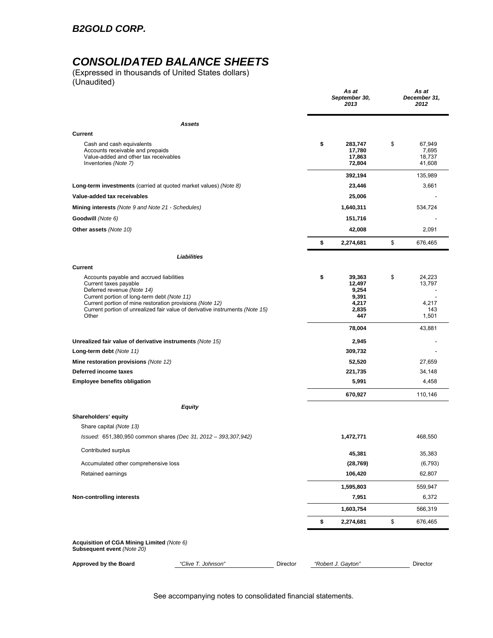## *B2GOLD CORP.*

# *CONSOLIDATED BALANCE SHEETS*

(Expressed in thousands of United States dollars) (Unaudited)

|                                                                                                                                                                                                                                                                                            |          | As at<br>September 30,<br>2013                       | As at<br>December 31,<br>2012 |                                     |
|--------------------------------------------------------------------------------------------------------------------------------------------------------------------------------------------------------------------------------------------------------------------------------------------|----------|------------------------------------------------------|-------------------------------|-------------------------------------|
| Assets                                                                                                                                                                                                                                                                                     |          |                                                      |                               |                                     |
| <b>Current</b>                                                                                                                                                                                                                                                                             |          |                                                      |                               |                                     |
| Cash and cash equivalents<br>Accounts receivable and prepaids<br>Value-added and other tax receivables<br>Inventories (Note 7)                                                                                                                                                             | \$       | 283,747<br>17,780<br>17,863<br>72,804                | \$                            | 67,949<br>7,695<br>18,737<br>41,608 |
|                                                                                                                                                                                                                                                                                            |          | 392,194                                              |                               | 135,989                             |
| Long-term investments (carried at quoted market values) (Note 8)                                                                                                                                                                                                                           |          | 23,446                                               |                               | 3,661                               |
| Value-added tax receivables                                                                                                                                                                                                                                                                |          | 25,006                                               |                               |                                     |
| Mining interests (Note 9 and Note 21 - Schedules)                                                                                                                                                                                                                                          |          | 1,640,311                                            |                               | 534,724                             |
| Goodwill (Note 6)                                                                                                                                                                                                                                                                          |          | 151,716                                              |                               |                                     |
| Other assets (Note 10)                                                                                                                                                                                                                                                                     |          | 42,008                                               |                               | 2,091                               |
|                                                                                                                                                                                                                                                                                            | \$       | 2,274,681                                            | \$                            | 676,465                             |
| <b>Liabilities</b>                                                                                                                                                                                                                                                                         |          |                                                      |                               |                                     |
| Current                                                                                                                                                                                                                                                                                    |          |                                                      |                               |                                     |
| Accounts payable and accrued liabilities<br>Current taxes payable<br>Deferred revenue (Note 14)<br>Current portion of long-term debt (Note 11)<br>Current portion of mine restoration provisions (Note 12)<br>Current portion of unrealized fair value of derivative instruments (Note 15) | \$       | 39,363<br>12,497<br>9,254<br>9,391<br>4,217<br>2,835 | \$                            | 24,223<br>13,797<br>4,217<br>143    |
| Other                                                                                                                                                                                                                                                                                      |          | 447<br>78,004                                        |                               | 1,501<br>43,881                     |
| Unrealized fair value of derivative instruments (Note 15)                                                                                                                                                                                                                                  |          | 2,945                                                |                               |                                     |
| Long-term debt (Note 11)                                                                                                                                                                                                                                                                   |          | 309,732                                              |                               |                                     |
| Mine restoration provisions (Note 12)                                                                                                                                                                                                                                                      |          | 52,520                                               |                               | 27,659                              |
| Deferred income taxes                                                                                                                                                                                                                                                                      |          | 221,735                                              |                               | 34,148                              |
| <b>Employee benefits obligation</b>                                                                                                                                                                                                                                                        |          | 5,991                                                |                               | 4,458                               |
|                                                                                                                                                                                                                                                                                            |          | 670,927                                              |                               | 110,146                             |
| Equity                                                                                                                                                                                                                                                                                     |          |                                                      |                               |                                     |
| Shareholders' equity<br>Share capital (Note 13)                                                                                                                                                                                                                                            |          |                                                      |                               |                                     |
| Issued: 651,380,950 common shares (Dec 31, 2012 - 393,307,942)                                                                                                                                                                                                                             |          | 1,472,771                                            |                               | 468,550                             |
| Contributed surplus                                                                                                                                                                                                                                                                        |          | 45,381                                               |                               | 35,383                              |
| Accumulated other comprehensive loss                                                                                                                                                                                                                                                       |          | (28, 769)                                            |                               | (6, 793)                            |
| Retained earnings                                                                                                                                                                                                                                                                          |          | 106,420                                              |                               | 62,807                              |
|                                                                                                                                                                                                                                                                                            |          | 1,595,803                                            |                               | 559,947                             |
| <b>Non-controlling interests</b>                                                                                                                                                                                                                                                           |          | 7,951                                                |                               | 6,372                               |
|                                                                                                                                                                                                                                                                                            |          | 1,603,754                                            |                               | 566,319                             |
|                                                                                                                                                                                                                                                                                            | \$       | 2,274,681                                            | \$                            | 676,465                             |
| Acquisition of CGA Mining Limited (Note 6)<br>Subsequent event (Note 20)                                                                                                                                                                                                                   |          |                                                      |                               |                                     |
| Approved by the Board<br>"Clive T. Johnson"                                                                                                                                                                                                                                                | Director | "Robert J. Gayton"                                   |                               | Director                            |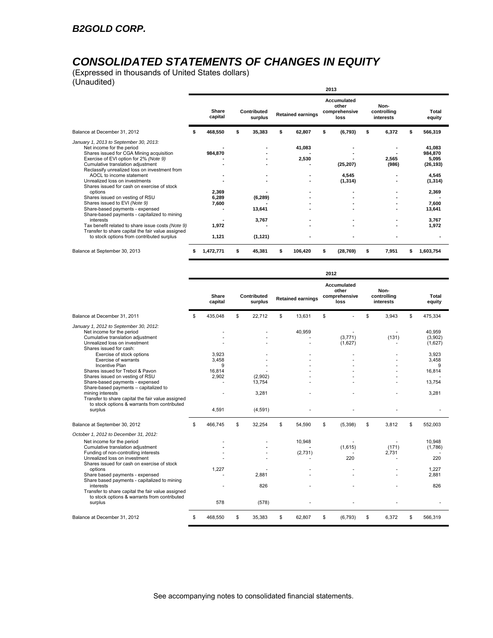# *CONSOLIDATED STATEMENTS OF CHANGES IN EQUITY*

(Expressed in thousands of United States dollars) (Unaudited)

| $\sqrt{2}$                                                                                                                                                                                                                                                                                                                                                                                                                                                                                                                                                                                                                                                                                         |   |                                                      |    |                                         |    |                          | 2013                                          |                                  |    |                                                                                                            |
|----------------------------------------------------------------------------------------------------------------------------------------------------------------------------------------------------------------------------------------------------------------------------------------------------------------------------------------------------------------------------------------------------------------------------------------------------------------------------------------------------------------------------------------------------------------------------------------------------------------------------------------------------------------------------------------------------|---|------------------------------------------------------|----|-----------------------------------------|----|--------------------------|-----------------------------------------------|----------------------------------|----|------------------------------------------------------------------------------------------------------------|
|                                                                                                                                                                                                                                                                                                                                                                                                                                                                                                                                                                                                                                                                                                    |   | Share<br>capital                                     |    | Contributed<br>surplus                  |    | <b>Retained earnings</b> | Accumulated<br>other<br>comprehensive<br>loss | Non-<br>controlling<br>interests |    | <b>Total</b><br>equity                                                                                     |
| Balance at December 31, 2012                                                                                                                                                                                                                                                                                                                                                                                                                                                                                                                                                                                                                                                                       | S | 468,550                                              | \$ | 35,383                                  | S  | 62.807                   | \$<br>(6, 793)                                | \$<br>6,372                      | S  | 566,319                                                                                                    |
| January 1, 2013 to September 30, 2013:<br>Net income for the period<br>Shares issued for CGA Mining acquisition<br>Exercise of EVI option for 2% (Note 9)<br>Cumulative translation adjustment<br>Reclassify unrealized loss on investment from<br>AOCL to income statement<br>Unrealized loss on investments<br>Shares issued for cash on exercise of stock<br>options<br>Shares issued on vesting of RSU<br>Shares issued to EVI (Note 9)<br>Share-based payments - expensed<br>Share-based payments - capitalized to mining<br>interests<br>Tax benefit related to share issue costs (Note 9)<br>Transfer to share capital the fair value assigned<br>to stock options from contributed surplus |   | 984,870<br>2.369<br>6,289<br>7,600<br>1.972<br>1,121 |    | (6, 289)<br>13,641<br>3.767<br>(1, 121) |    | 41,083<br>2,530          | (25, 207)<br>4.545<br>(1, 314)                | 2,565<br>(986)                   |    | 41.083<br>984,870<br>5,095<br>(26, 193)<br>4.545<br>(1, 314)<br>2,369<br>7.600<br>13,641<br>3.767<br>1,972 |
| Balance at September 30, 2013                                                                                                                                                                                                                                                                                                                                                                                                                                                                                                                                                                                                                                                                      | S | 1,472,771                                            | s  | 45,381                                  | \$ | 106,420                  | \$<br>(28, 769)                               | \$<br>7,951                      | \$ | 1,603,754                                                                                                  |

|                                                                                                                                                                                                                                                                                                                               | 2012 |                     |    |                        |    |                          |    |                                               |                                  |     |                              |
|-------------------------------------------------------------------------------------------------------------------------------------------------------------------------------------------------------------------------------------------------------------------------------------------------------------------------------|------|---------------------|----|------------------------|----|--------------------------|----|-----------------------------------------------|----------------------------------|-----|------------------------------|
|                                                                                                                                                                                                                                                                                                                               |      | Share<br>capital    |    | Contributed<br>surplus |    | <b>Retained earnings</b> |    | Accumulated<br>other<br>comprehensive<br>loss | Non-<br>controlling<br>interests |     | Total<br>equity              |
| Balance at December 31, 2011                                                                                                                                                                                                                                                                                                  | \$   | 435.048             | \$ | 22.712                 | \$ | 13.631                   | \$ |                                               | \$<br>3.943                      | \$. | 475.334                      |
| January 1, 2012 to September 30, 2012:<br>Net income for the period<br>Cumulative translation adjustment<br>Unrealized loss on investment<br>Shares issued for cash:                                                                                                                                                          |      |                     |    |                        |    | 40.959                   |    | (3.771)<br>(1,627)                            | (131)                            |     | 40.959<br>(3,902)<br>(1,627) |
| Exercise of stock options<br>Exercise of warrants<br>Incentive Plan                                                                                                                                                                                                                                                           |      | 3,923<br>3,458<br>9 |    |                        |    |                          |    |                                               |                                  |     | 3.923<br>3,458<br>9          |
| Shares issued for Trebol & Pavon<br>Shares issued on vesting of RSU<br>Share-based payments - expensed<br>Share-based payments - capitalized to                                                                                                                                                                               |      | 16.814<br>2.902     |    | (2,902)<br>13,754      |    |                          |    |                                               |                                  |     | 16,814<br>13.754             |
| mining interests<br>Transfer to share capital the fair value assigned<br>to stock options & warrants from contributed<br>surplus                                                                                                                                                                                              |      | 4,591               |    | 3,281<br>(4,591)       |    |                          |    |                                               |                                  |     | 3,281                        |
| Balance at September 30, 2012                                                                                                                                                                                                                                                                                                 | \$   | 466.745             | \$ | 32,254                 | \$ | 54,590                   | \$ | (5, 398)                                      | \$<br>3,812                      | \$. | 552,003                      |
| October 1, 2012 to December 31, 2012:<br>Net income for the period<br>Cumulative translation adjustment<br>Funding of non-controlling interests<br>Unrealized loss on investment<br>Shares issued for cash on exercise of stock<br>options<br>Share based payments - expensed<br>Share based payments - capitalized to mining |      |                     |    |                        |    | 10.948<br>(2,731)        |    | (1,615)<br>220                                | (171)<br>2,731                   |     | 10.948<br>(1,786)<br>220     |
|                                                                                                                                                                                                                                                                                                                               |      | 1.227               |    | 2,881                  |    |                          |    |                                               |                                  |     | 1.227<br>2,881               |
| interests<br>Transfer to share capital the fair value assigned<br>to stock options & warrants from contributed<br>surplus                                                                                                                                                                                                     |      | 578                 |    | 826<br>(578)           |    |                          |    |                                               |                                  |     | 826                          |
| Balance at December 31, 2012                                                                                                                                                                                                                                                                                                  | \$   | 468.550             | \$ | 35,383                 | \$ | 62.807                   | \$ | (6, 793)                                      | \$<br>6.372                      | \$  | 566,319                      |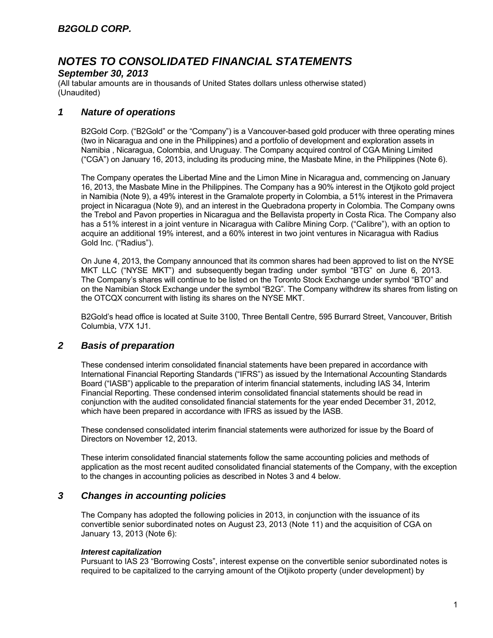## *September 30, 2013*

(All tabular amounts are in thousands of United States dollars unless otherwise stated) (Unaudited)

## *1 Nature of operations*

B2Gold Corp. ("B2Gold" or the "Company") is a Vancouver-based gold producer with three operating mines (two in Nicaragua and one in the Philippines) and a portfolio of development and exploration assets in Namibia , Nicaragua, Colombia, and Uruguay. The Company acquired control of CGA Mining Limited ("CGA") on January 16, 2013, including its producing mine, the Masbate Mine, in the Philippines (Note 6).

The Company operates the Libertad Mine and the Limon Mine in Nicaragua and, commencing on January 16, 2013, the Masbate Mine in the Philippines. The Company has a 90% interest in the Otjikoto gold project in Namibia (Note 9), a 49% interest in the Gramalote property in Colombia, a 51% interest in the Primavera project in Nicaragua (Note 9), and an interest in the Quebradona property in Colombia. The Company owns the Trebol and Pavon properties in Nicaragua and the Bellavista property in Costa Rica. The Company also has a 51% interest in a joint venture in Nicaragua with Calibre Mining Corp. ("Calibre"), with an option to acquire an additional 19% interest, and a 60% interest in two joint ventures in Nicaragua with Radius Gold Inc. ("Radius").

On June 4, 2013, the Company announced that its common shares had been approved to list on the NYSE MKT LLC ("NYSE MKT") and subsequently began trading under symbol "BTG" on June 6, 2013. The Company's shares will continue to be listed on the Toronto Stock Exchange under symbol "BTO" and on the Namibian Stock Exchange under the symbol "B2G". The Company withdrew its shares from listing on the OTCQX concurrent with listing its shares on the NYSE MKT.

B2Gold's head office is located at Suite 3100, Three Bentall Centre, 595 Burrard Street, Vancouver, British Columbia, V7X 1J1.

## *2 Basis of preparation*

These condensed interim consolidated financial statements have been prepared in accordance with International Financial Reporting Standards ("IFRS") as issued by the International Accounting Standards Board ("IASB") applicable to the preparation of interim financial statements, including IAS 34, Interim Financial Reporting. These condensed interim consolidated financial statements should be read in conjunction with the audited consolidated financial statements for the year ended December 31, 2012, which have been prepared in accordance with IFRS as issued by the IASB.

These condensed consolidated interim financial statements were authorized for issue by the Board of Directors on November 12, 2013.

These interim consolidated financial statements follow the same accounting policies and methods of application as the most recent audited consolidated financial statements of the Company, with the exception to the changes in accounting policies as described in Notes 3 and 4 below.

## *3 Changes in accounting policies*

The Company has adopted the following policies in 2013, in conjunction with the issuance of its convertible senior subordinated notes on August 23, 2013 (Note 11) and the acquisition of CGA on January 13, 2013 (Note 6):

### *Interest capitalization*

Pursuant to IAS 23 "Borrowing Costs", interest expense on the convertible senior subordinated notes is required to be capitalized to the carrying amount of the Otjikoto property (under development) by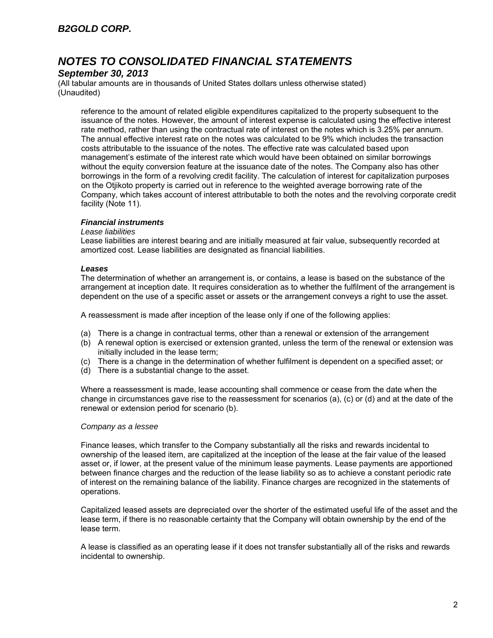## *September 30, 2013*

(All tabular amounts are in thousands of United States dollars unless otherwise stated) (Unaudited)

reference to the amount of related eligible expenditures capitalized to the property subsequent to the issuance of the notes. However, the amount of interest expense is calculated using the effective interest rate method, rather than using the contractual rate of interest on the notes which is 3.25% per annum. The annual effective interest rate on the notes was calculated to be 9% which includes the transaction costs attributable to the issuance of the notes. The effective rate was calculated based upon management's estimate of the interest rate which would have been obtained on similar borrowings without the equity conversion feature at the issuance date of the notes. The Company also has other borrowings in the form of a revolving credit facility. The calculation of interest for capitalization purposes on the Otjikoto property is carried out in reference to the weighted average borrowing rate of the Company, which takes account of interest attributable to both the notes and the revolving corporate credit facility (Note 11).

### *Financial instruments*

### *Lease liabilities*

Lease liabilities are interest bearing and are initially measured at fair value, subsequently recorded at amortized cost. Lease liabilities are designated as financial liabilities.

### *Leases*

The determination of whether an arrangement is, or contains, a lease is based on the substance of the arrangement at inception date. It requires consideration as to whether the fulfilment of the arrangement is dependent on the use of a specific asset or assets or the arrangement conveys a right to use the asset.

A reassessment is made after inception of the lease only if one of the following applies:

- (a) There is a change in contractual terms, other than a renewal or extension of the arrangement
- (b) A renewal option is exercised or extension granted, unless the term of the renewal or extension was initially included in the lease term;
- (c) There is a change in the determination of whether fulfilment is dependent on a specified asset; or
- (d) There is a substantial change to the asset.

Where a reassessment is made, lease accounting shall commence or cease from the date when the change in circumstances gave rise to the reassessment for scenarios (a), (c) or (d) and at the date of the renewal or extension period for scenario (b).

### *Company as a lessee*

Finance leases, which transfer to the Company substantially all the risks and rewards incidental to ownership of the leased item, are capitalized at the inception of the lease at the fair value of the leased asset or, if lower, at the present value of the minimum lease payments. Lease payments are apportioned between finance charges and the reduction of the lease liability so as to achieve a constant periodic rate of interest on the remaining balance of the liability. Finance charges are recognized in the statements of operations.

Capitalized leased assets are depreciated over the shorter of the estimated useful life of the asset and the lease term, if there is no reasonable certainty that the Company will obtain ownership by the end of the lease term.

A lease is classified as an operating lease if it does not transfer substantially all of the risks and rewards incidental to ownership.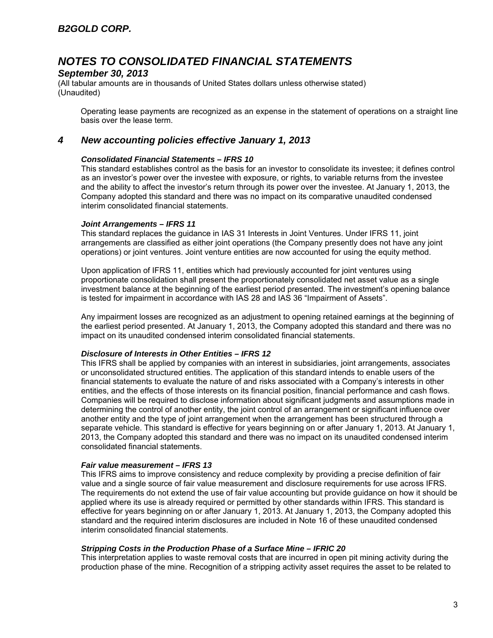### *September 30, 2013*

(All tabular amounts are in thousands of United States dollars unless otherwise stated) (Unaudited)

Operating lease payments are recognized as an expense in the statement of operations on a straight line basis over the lease term.

### *4 New accounting policies effective January 1, 2013*

### *Consolidated Financial Statements – IFRS 10*

This standard establishes control as the basis for an investor to consolidate its investee; it defines control as an investor's power over the investee with exposure, or rights, to variable returns from the investee and the ability to affect the investor's return through its power over the investee. At January 1, 2013, the Company adopted this standard and there was no impact on its comparative unaudited condensed interim consolidated financial statements.

### *Joint Arrangements – IFRS 11*

This standard replaces the guidance in IAS 31 Interests in Joint Ventures. Under IFRS 11, joint arrangements are classified as either joint operations (the Company presently does not have any joint operations) or joint ventures. Joint venture entities are now accounted for using the equity method.

Upon application of IFRS 11, entities which had previously accounted for joint ventures using proportionate consolidation shall present the proportionately consolidated net asset value as a single investment balance at the beginning of the earliest period presented. The investment's opening balance is tested for impairment in accordance with IAS 28 and IAS 36 "Impairment of Assets".

Any impairment losses are recognized as an adjustment to opening retained earnings at the beginning of the earliest period presented. At January 1, 2013, the Company adopted this standard and there was no impact on its unaudited condensed interim consolidated financial statements.

### *Disclosure of Interests in Other Entities – IFRS 12*

This IFRS shall be applied by companies with an interest in subsidiaries, joint arrangements, associates or unconsolidated structured entities. The application of this standard intends to enable users of the financial statements to evaluate the nature of and risks associated with a Company's interests in other entities, and the effects of those interests on its financial position, financial performance and cash flows. Companies will be required to disclose information about significant judgments and assumptions made in determining the control of another entity, the joint control of an arrangement or significant influence over another entity and the type of joint arrangement when the arrangement has been structured through a separate vehicle. This standard is effective for years beginning on or after January 1, 2013. At January 1, 2013, the Company adopted this standard and there was no impact on its unaudited condensed interim consolidated financial statements.

### *Fair value measurement – IFRS 13*

This IFRS aims to improve consistency and reduce complexity by providing a precise definition of fair value and a single source of fair value measurement and disclosure requirements for use across IFRS. The requirements do not extend the use of fair value accounting but provide guidance on how it should be applied where its use is already required or permitted by other standards within IFRS. This standard is effective for years beginning on or after January 1, 2013. At January 1, 2013, the Company adopted this standard and the required interim disclosures are included in Note 16 of these unaudited condensed interim consolidated financial statements.

### *Stripping Costs in the Production Phase of a Surface Mine – IFRIC 20*

This interpretation applies to waste removal costs that are incurred in open pit mining activity during the production phase of the mine. Recognition of a stripping activity asset requires the asset to be related to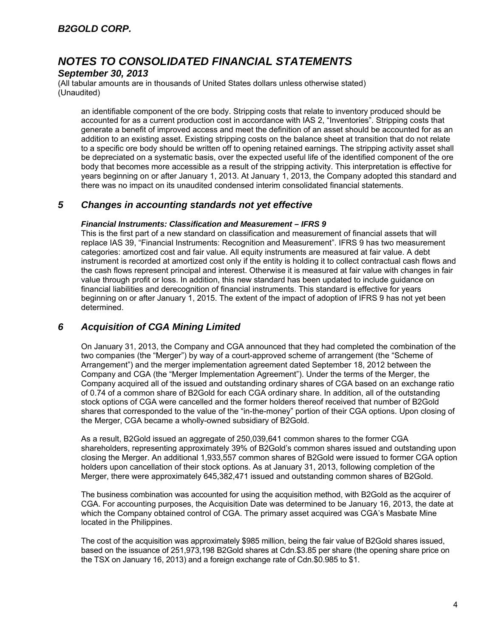## *September 30, 2013*

(All tabular amounts are in thousands of United States dollars unless otherwise stated) (Unaudited)

an identifiable component of the ore body. Stripping costs that relate to inventory produced should be accounted for as a current production cost in accordance with IAS 2, "Inventories". Stripping costs that generate a benefit of improved access and meet the definition of an asset should be accounted for as an addition to an existing asset. Existing stripping costs on the balance sheet at transition that do not relate to a specific ore body should be written off to opening retained earnings. The stripping activity asset shall be depreciated on a systematic basis, over the expected useful life of the identified component of the ore body that becomes more accessible as a result of the stripping activity. This interpretation is effective for years beginning on or after January 1, 2013. At January 1, 2013, the Company adopted this standard and there was no impact on its unaudited condensed interim consolidated financial statements.

## *5 Changes in accounting standards not yet effective*

### *Financial Instruments: Classification and Measurement – IFRS 9*

This is the first part of a new standard on classification and measurement of financial assets that will replace IAS 39, "Financial Instruments: Recognition and Measurement". IFRS 9 has two measurement categories: amortized cost and fair value. All equity instruments are measured at fair value. A debt instrument is recorded at amortized cost only if the entity is holding it to collect contractual cash flows and the cash flows represent principal and interest. Otherwise it is measured at fair value with changes in fair value through profit or loss. In addition, this new standard has been updated to include guidance on financial liabilities and derecognition of financial instruments. This standard is effective for years beginning on or after January 1, 2015. The extent of the impact of adoption of IFRS 9 has not yet been determined.

## *6 Acquisition of CGA Mining Limited*

On January 31, 2013, the Company and CGA announced that they had completed the combination of the two companies (the "Merger") by way of a court-approved scheme of arrangement (the "Scheme of Arrangement") and the merger implementation agreement dated September 18, 2012 between the Company and CGA (the "Merger Implementation Agreement"). Under the terms of the Merger, the Company acquired all of the issued and outstanding ordinary shares of CGA based on an exchange ratio of 0.74 of a common share of B2Gold for each CGA ordinary share. In addition, all of the outstanding stock options of CGA were cancelled and the former holders thereof received that number of B2Gold shares that corresponded to the value of the "in-the-money" portion of their CGA options. Upon closing of the Merger, CGA became a wholly-owned subsidiary of B2Gold.

As a result, B2Gold issued an aggregate of 250,039,641 common shares to the former CGA shareholders, representing approximately 39% of B2Gold's common shares issued and outstanding upon closing the Merger. An additional 1,933,557 common shares of B2Gold were issued to former CGA option holders upon cancellation of their stock options. As at January 31, 2013, following completion of the Merger, there were approximately 645,382,471 issued and outstanding common shares of B2Gold.

The business combination was accounted for using the acquisition method, with B2Gold as the acquirer of CGA. For accounting purposes, the Acquisition Date was determined to be January 16, 2013, the date at which the Company obtained control of CGA. The primary asset acquired was CGA's Masbate Mine located in the Philippines.

The cost of the acquisition was approximately \$985 million, being the fair value of B2Gold shares issued, based on the issuance of 251,973,198 B2Gold shares at Cdn.\$3.85 per share (the opening share price on the TSX on January 16, 2013) and a foreign exchange rate of Cdn.\$0.985 to \$1.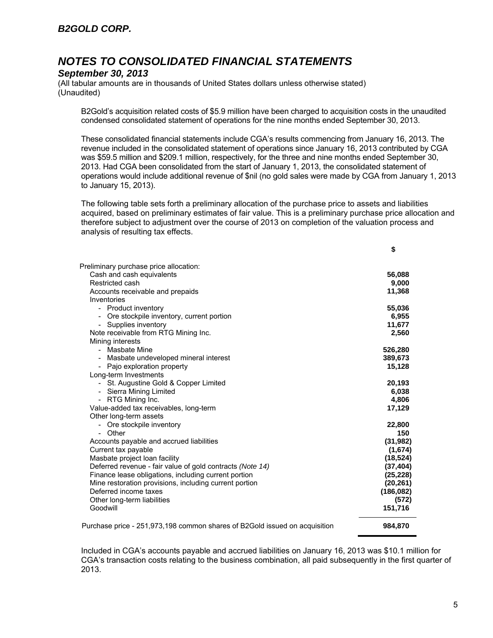### *September 30, 2013*

(All tabular amounts are in thousands of United States dollars unless otherwise stated) (Unaudited)

B2Gold's acquisition related costs of \$5.9 million have been charged to acquisition costs in the unaudited condensed consolidated statement of operations for the nine months ended September 30, 2013.

These consolidated financial statements include CGA's results commencing from January 16, 2013. The revenue included in the consolidated statement of operations since January 16, 2013 contributed by CGA was \$59.5 million and \$209.1 million, respectively, for the three and nine months ended September 30, 2013. Had CGA been consolidated from the start of January 1, 2013, the consolidated statement of operations would include additional revenue of \$nil (no gold sales were made by CGA from January 1, 2013 to January 15, 2013).

The following table sets forth a preliminary allocation of the purchase price to assets and liabilities acquired, based on preliminary estimates of fair value. This is a preliminary purchase price allocation and therefore subject to adjustment over the course of 2013 on completion of the valuation process and analysis of resulting tax effects.

**\$** 

| Preliminary purchase price allocation:                                     |            |
|----------------------------------------------------------------------------|------------|
| Cash and cash equivalents                                                  | 56,088     |
| Restricted cash                                                            | 9,000      |
| Accounts receivable and prepaids                                           | 11,368     |
| Inventories                                                                |            |
| - Product inventory                                                        | 55,036     |
| Ore stockpile inventory, current portion<br>$\overline{\phantom{a}}$       | 6,955      |
| Supplies inventory<br>$\overline{\phantom{a}}$                             | 11,677     |
| Note receivable from RTG Mining Inc.                                       | 2,560      |
| Mining interests                                                           |            |
| - Masbate Mine                                                             | 526,280    |
| Masbate undeveloped mineral interest                                       | 389,673    |
| - Pajo exploration property                                                | 15,128     |
| Long-term Investments                                                      |            |
| - St. Augustine Gold & Copper Limited                                      | 20,193     |
| - Sierra Mining Limited                                                    | 6,038      |
| - RTG Mining Inc.                                                          | 4,806      |
| Value-added tax receivables, long-term                                     | 17,129     |
| Other long-term assets                                                     |            |
| - Ore stockpile inventory                                                  | 22,800     |
| - Other                                                                    | 150        |
| Accounts payable and accrued liabilities                                   | (31, 982)  |
| Current tax payable                                                        | (1,674)    |
| Masbate project loan facility                                              | (18, 524)  |
| Deferred revenue - fair value of gold contracts (Note 14)                  | (37, 404)  |
| Finance lease obligations, including current portion                       | (25, 228)  |
| Mine restoration provisions, including current portion                     | (20, 261)  |
| Deferred income taxes                                                      | (186, 082) |
| Other long-term liabilities                                                | (572)      |
| Goodwill                                                                   | 151,716    |
| Purchase price - 251,973,198 common shares of B2Gold issued on acquisition | 984,870    |

Included in CGA's accounts payable and accrued liabilities on January 16, 2013 was \$10.1 million for CGA's transaction costs relating to the business combination, all paid subsequently in the first quarter of 2013.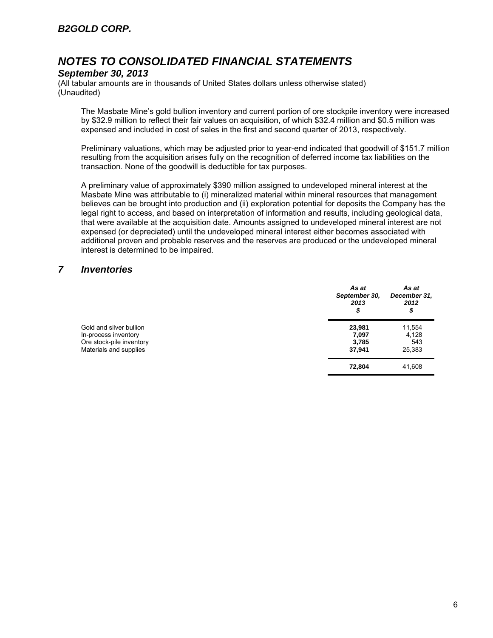### *September 30, 2013*

(All tabular amounts are in thousands of United States dollars unless otherwise stated) (Unaudited)

The Masbate Mine's gold bullion inventory and current portion of ore stockpile inventory were increased by \$32.9 million to reflect their fair values on acquisition, of which \$32.4 million and \$0.5 million was expensed and included in cost of sales in the first and second quarter of 2013, respectively.

Preliminary valuations, which may be adjusted prior to year-end indicated that goodwill of \$151.7 million resulting from the acquisition arises fully on the recognition of deferred income tax liabilities on the transaction. None of the goodwill is deductible for tax purposes.

A preliminary value of approximately \$390 million assigned to undeveloped mineral interest at the Masbate Mine was attributable to (i) mineralized material within mineral resources that management believes can be brought into production and (ii) exploration potential for deposits the Company has the legal right to access, and based on interpretation of information and results, including geological data, that were available at the acquisition date. Amounts assigned to undeveloped mineral interest are not expensed (or depreciated) until the undeveloped mineral interest either becomes associated with additional proven and probable reserves and the reserves are produced or the undeveloped mineral interest is determined to be impaired.

## *7 Inventories*

|                          | As at<br>September 30,<br>2013<br>\$ | As at<br>December 31,<br>2012<br>\$ |
|--------------------------|--------------------------------------|-------------------------------------|
| Gold and silver bullion  | 23,981                               | 11,554                              |
| In-process inventory     | 7,097                                | 4,128                               |
| Ore stock-pile inventory | 3,785                                | 543                                 |
| Materials and supplies   | 37,941                               | 25,383                              |
|                          | 72,804                               | 41,608                              |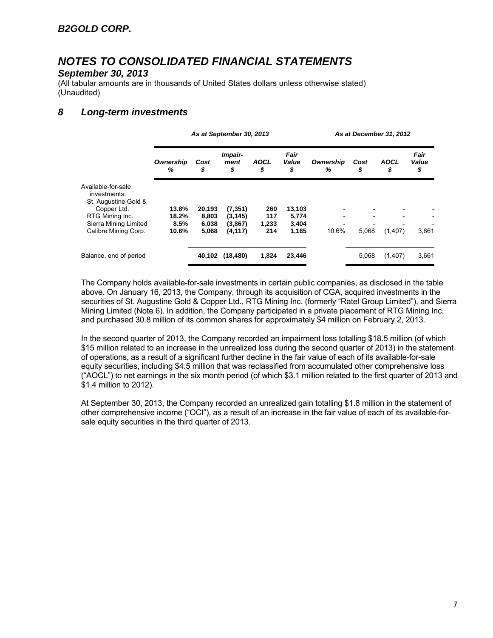## *September 30, 2013*

(All tabular amounts are in thousands of United States dollars unless otherwise stated) (Unaudited)

## *8 Long-term investments*

|                                                            | As at September 30, 2013 |                |                       |                   |                     |                |            | As at December 31, 2012 |                     |
|------------------------------------------------------------|--------------------------|----------------|-----------------------|-------------------|---------------------|----------------|------------|-------------------------|---------------------|
|                                                            | Ownership<br>%           | Cost<br>\$     | Impair-<br>ment<br>\$ | <b>AOCL</b><br>\$ | Fair<br>Value<br>\$ | Ownership<br>℅ | Cost<br>\$ | <b>AOCL</b><br>\$       | Fair<br>Value<br>\$ |
| Available-for-sale<br>investments:<br>St. Augustine Gold & |                          |                |                       |                   |                     |                |            |                         |                     |
| Copper Ltd.                                                | 13.8%                    | 20,193         | (7, 351)              | 260               | 13,103              |                |            |                         |                     |
| RTG Mining Inc.<br>Sierra Mining Limited                   | 18.2%<br>8.5%            | 8,803<br>6,038 | (3, 145)<br>(3,867)   | 117<br>1,233      | 5.774<br>3,404      |                |            |                         |                     |
| Calibre Mining Corp.                                       | 10.6%                    | 5,068          | (4, 117)              | 214               | 1,165               | 10.6%          | 5,068      | (1,407)                 | 3,661               |
| Balance, end of period                                     |                          | 40,102         | (18, 480)             | 1,824             | 23,446              |                | 5,068      | (1,407)                 | 3,661               |

The Company holds available-for-sale investments in certain public companies, as disclosed in the table above. On January 16, 2013, the Company, through its acquisition of CGA, acquired investments in the securities of St. Augustine Gold & Copper Ltd., RTG Mining Inc. (formerly "Ratel Group Limited"), and Sierra Mining Limited (Note 6). In addition, the Company participated in a private placement of RTG Mining Inc. and purchased 30.8 million of its common shares for approximately \$4 million on February 2, 2013.

In the second quarter of 2013, the Company recorded an impairment loss totalling \$18.5 million (of which \$15 million related to an increase in the unrealized loss during the second quarter of 2013) in the statement of operations, as a result of a significant further decline in the fair value of each of its available-for-sale equity securities, including \$4.5 million that was reclassified from accumulated other comprehensive loss ("AOCL") to net earnings in the six month period (of which \$3.1 million related to the first quarter of 2013 and \$1.4 million to 2012).

At September 30, 2013, the Company recorded an unrealized gain totalling \$1.8 million in the statement of other comprehensive income ("OCI"), as a result of an increase in the fair value of each of its available-forsale equity securities in the third quarter of 2013.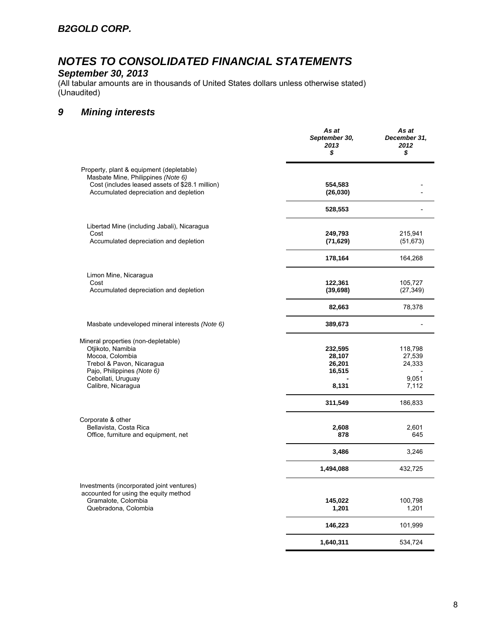## *B2GOLD CORP.*

# *NOTES TO CONSOLIDATED FINANCIAL STATEMENTS*

### *September 30, 2013*

(All tabular amounts are in thousands of United States dollars unless otherwise stated) (Unaudited)

## *9 Mining interests*

|                                                                                                                                   | As at<br>September 30,<br>2013<br>\$ | As at<br>December 31,<br>2012<br>\$ |
|-----------------------------------------------------------------------------------------------------------------------------------|--------------------------------------|-------------------------------------|
| Property, plant & equipment (depletable)<br>Masbate Mine, Philippines (Note 6)<br>Cost (includes leased assets of \$28.1 million) | 554,583                              |                                     |
| Accumulated depreciation and depletion                                                                                            | (26, 030)                            |                                     |
|                                                                                                                                   | 528,553                              |                                     |
| Libertad Mine (including Jabali), Nicaragua                                                                                       |                                      |                                     |
| Cost<br>Accumulated depreciation and depletion                                                                                    | 249,793<br>(71, 629)                 | 215,941<br>(51, 673)                |
|                                                                                                                                   | 178,164                              | 164,268                             |
| Limon Mine, Nicaragua                                                                                                             |                                      |                                     |
| Cost<br>Accumulated depreciation and depletion                                                                                    | 122,361<br>(39, 698)                 | 105,727<br>(27, 349)                |
|                                                                                                                                   | 82,663                               | 78,378                              |
| Masbate undeveloped mineral interests (Note 6)                                                                                    | 389,673                              |                                     |
| Mineral properties (non-depletable)                                                                                               |                                      |                                     |
| Otjikoto, Namibia                                                                                                                 | 232,595                              | 118,798                             |
| Mocoa, Colombia                                                                                                                   | 28,107                               | 27,539                              |
| Trebol & Pavon, Nicaragua<br>Pajo, Philippines (Note 6)                                                                           | 26,201<br>16,515                     | 24,333                              |
| Cebollati, Uruguay                                                                                                                |                                      | 9,051                               |
| Calibre, Nicaragua                                                                                                                | 8,131                                | 7,112                               |
|                                                                                                                                   | 311,549                              | 186,833                             |
| Corporate & other                                                                                                                 |                                      |                                     |
| Bellavista, Costa Rica<br>Office, furniture and equipment, net                                                                    | 2,608<br>878                         | 2,601<br>645                        |
|                                                                                                                                   | 3,486                                | 3,246                               |
|                                                                                                                                   | 1,494,088                            | 432,725                             |
| Investments (incorporated joint ventures)                                                                                         |                                      |                                     |
| accounted for using the equity method                                                                                             |                                      |                                     |
| Gramalote, Colombia<br>Quebradona, Colombia                                                                                       | 145,022<br>1,201                     | 100,798<br>1,201                    |
|                                                                                                                                   | 146,223                              | 101,999                             |
|                                                                                                                                   | 1,640,311                            | 534,724                             |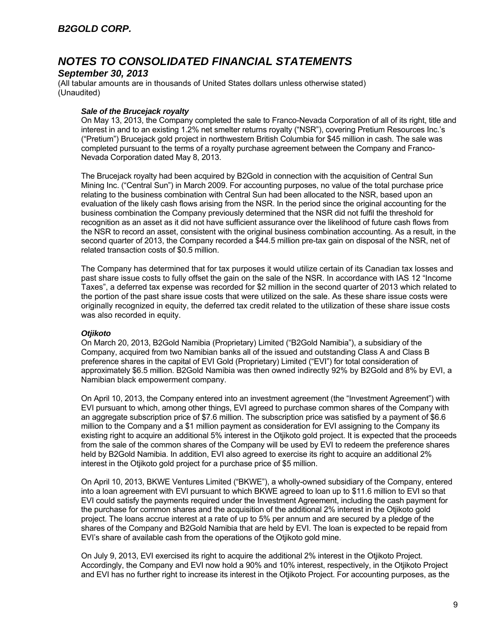### *September 30, 2013*

(All tabular amounts are in thousands of United States dollars unless otherwise stated) (Unaudited)

### *Sale of the Brucejack royalty*

On May 13, 2013, the Company completed the sale to Franco-Nevada Corporation of all of its right, title and interest in and to an existing 1.2% net smelter returns royalty ("NSR"), covering Pretium Resources Inc.'s ("Pretium") Brucejack gold project in northwestern British Columbia for \$45 million in cash. The sale was completed pursuant to the terms of a royalty purchase agreement between the Company and Franco-Nevada Corporation dated May 8, 2013.

The Brucejack royalty had been acquired by B2Gold in connection with the acquisition of Central Sun Mining Inc. ("Central Sun") in March 2009. For accounting purposes, no value of the total purchase price relating to the business combination with Central Sun had been allocated to the NSR, based upon an evaluation of the likely cash flows arising from the NSR. In the period since the original accounting for the business combination the Company previously determined that the NSR did not fulfil the threshold for recognition as an asset as it did not have sufficient assurance over the likelihood of future cash flows from the NSR to record an asset, consistent with the original business combination accounting. As a result, in the second quarter of 2013, the Company recorded a \$44.5 million pre-tax gain on disposal of the NSR, net of related transaction costs of \$0.5 million.

The Company has determined that for tax purposes it would utilize certain of its Canadian tax losses and past share issue costs to fully offset the gain on the sale of the NSR. In accordance with IAS 12 "Income Taxes", a deferred tax expense was recorded for \$2 million in the second quarter of 2013 which related to the portion of the past share issue costs that were utilized on the sale. As these share issue costs were originally recognized in equity, the deferred tax credit related to the utilization of these share issue costs was also recorded in equity.

### *Otjikoto*

On March 20, 2013, B2Gold Namibia (Proprietary) Limited ("B2Gold Namibia"), a subsidiary of the Company, acquired from two Namibian banks all of the issued and outstanding Class A and Class B preference shares in the capital of EVI Gold (Proprietary) Limited ("EVI") for total consideration of approximately \$6.5 million. B2Gold Namibia was then owned indirectly 92% by B2Gold and 8% by EVI, a Namibian black empowerment company.

On April 10, 2013, the Company entered into an investment agreement (the "Investment Agreement") with EVI pursuant to which, among other things, EVI agreed to purchase common shares of the Company with an aggregate subscription price of \$7.6 million. The subscription price was satisfied by a payment of \$6.6 million to the Company and a \$1 million payment as consideration for EVI assigning to the Company its existing right to acquire an additional 5% interest in the Otjikoto gold project. It is expected that the proceeds from the sale of the common shares of the Company will be used by EVI to redeem the preference shares held by B2Gold Namibia. In addition, EVI also agreed to exercise its right to acquire an additional 2% interest in the Otjikoto gold project for a purchase price of \$5 million.

On April 10, 2013, BKWE Ventures Limited ("BKWE"), a wholly-owned subsidiary of the Company, entered into a loan agreement with EVI pursuant to which BKWE agreed to loan up to \$11.6 million to EVI so that EVI could satisfy the payments required under the Investment Agreement, including the cash payment for the purchase for common shares and the acquisition of the additional 2% interest in the Otjikoto gold project. The loans accrue interest at a rate of up to 5% per annum and are secured by a pledge of the shares of the Company and B2Gold Namibia that are held by EVI. The loan is expected to be repaid from EVI's share of available cash from the operations of the Otjikoto gold mine.

On July 9, 2013, EVI exercised its right to acquire the additional 2% interest in the Otjikoto Project. Accordingly, the Company and EVI now hold a 90% and 10% interest, respectively, in the Otjikoto Project and EVI has no further right to increase its interest in the Otjikoto Project. For accounting purposes, as the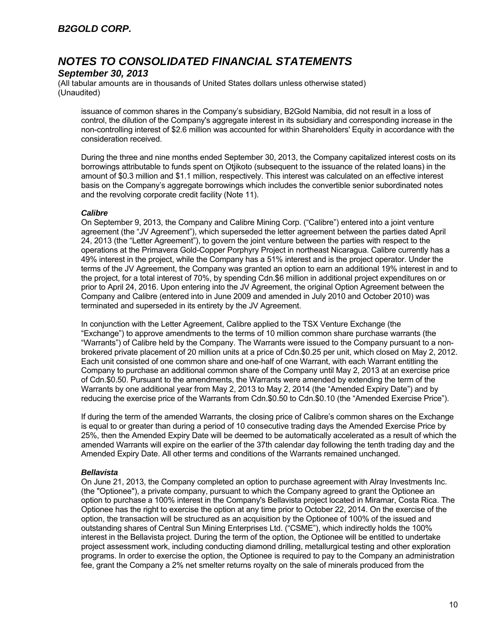### *September 30, 2013*

(All tabular amounts are in thousands of United States dollars unless otherwise stated) (Unaudited)

issuance of common shares in the Company's subsidiary, B2Gold Namibia, did not result in a loss of control, the dilution of the Company's aggregate interest in its subsidiary and corresponding increase in the non-controlling interest of \$2.6 million was accounted for within Shareholders' Equity in accordance with the consideration received.

During the three and nine months ended September 30, 2013, the Company capitalized interest costs on its borrowings attributable to funds spent on Otjikoto (subsequent to the issuance of the related loans) in the amount of \$0.3 million and \$1.1 million, respectively. This interest was calculated on an effective interest basis on the Company's aggregate borrowings which includes the convertible senior subordinated notes and the revolving corporate credit facility (Note 11).

### *Calibre*

On September 9, 2013, the Company and Calibre Mining Corp. ("Calibre") entered into a joint venture agreement (the "JV Agreement"), which superseded the letter agreement between the parties dated April 24, 2013 (the "Letter Agreement"), to govern the joint venture between the parties with respect to the operations at the Primavera Gold-Copper Porphyry Project in northeast Nicaragua. Calibre currently has a 49% interest in the project, while the Company has a 51% interest and is the project operator. Under the terms of the JV Agreement, the Company was granted an option to earn an additional 19% interest in and to the project, for a total interest of 70%, by spending Cdn.\$6 million in additional project expenditures on or prior to April 24, 2016. Upon entering into the JV Agreement, the original Option Agreement between the Company and Calibre (entered into in June 2009 and amended in July 2010 and October 2010) was terminated and superseded in its entirety by the JV Agreement.

In conjunction with the Letter Agreement, Calibre applied to the TSX Venture Exchange (the "Exchange") to approve amendments to the terms of 10 million common share purchase warrants (the "Warrants") of Calibre held by the Company. The Warrants were issued to the Company pursuant to a nonbrokered private placement of 20 million units at a price of Cdn.\$0.25 per unit, which closed on May 2, 2012. Each unit consisted of one common share and one-half of one Warrant, with each Warrant entitling the Company to purchase an additional common share of the Company until May 2, 2013 at an exercise price of Cdn.\$0.50. Pursuant to the amendments, the Warrants were amended by extending the term of the Warrants by one additional year from May 2, 2013 to May 2, 2014 (the "Amended Expiry Date") and by reducing the exercise price of the Warrants from Cdn.\$0.50 to Cdn.\$0.10 (the "Amended Exercise Price").

If during the term of the amended Warrants, the closing price of Calibre's common shares on the Exchange is equal to or greater than during a period of 10 consecutive trading days the Amended Exercise Price by 25%, then the Amended Expiry Date will be deemed to be automatically accelerated as a result of which the amended Warrants will expire on the earlier of the 37th calendar day following the tenth trading day and the Amended Expiry Date. All other terms and conditions of the Warrants remained unchanged.

### *Bellavista*

On June 21, 2013, the Company completed an option to purchase agreement with Alray Investments Inc. (the "Optionee"), a private company, pursuant to which the Company agreed to grant the Optionee an option to purchase a 100% interest in the Company's Bellavista project located in Miramar, Costa Rica. The Optionee has the right to exercise the option at any time prior to October 22, 2014. On the exercise of the option, the transaction will be structured as an acquisition by the Optionee of 100% of the issued and outstanding shares of Central Sun Mining Enterprises Ltd. ("CSME"), which indirectly holds the 100% interest in the Bellavista project. During the term of the option, the Optionee will be entitled to undertake project assessment work, including conducting diamond drilling, metallurgical testing and other exploration programs. In order to exercise the option, the Optionee is required to pay to the Company an administration fee, grant the Company a 2% net smelter returns royalty on the sale of minerals produced from the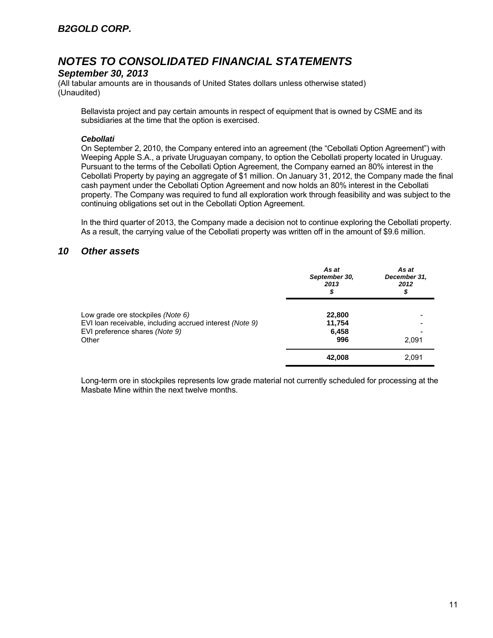## *September 30, 2013*

(All tabular amounts are in thousands of United States dollars unless otherwise stated) (Unaudited)

Bellavista project and pay certain amounts in respect of equipment that is owned by CSME and its subsidiaries at the time that the option is exercised.

### *Cebollati*

On September 2, 2010, the Company entered into an agreement (the "Cebollati Option Agreement") with Weeping Apple S.A., a private Uruguayan company, to option the Cebollati property located in Uruguay. Pursuant to the terms of the Cebollati Option Agreement, the Company earned an 80% interest in the Cebollati Property by paying an aggregate of \$1 million. On January 31, 2012, the Company made the final cash payment under the Cebollati Option Agreement and now holds an 80% interest in the Cebollati property. The Company was required to fund all exploration work through feasibility and was subject to the continuing obligations set out in the Cebollati Option Agreement.

In the third quarter of 2013, the Company made a decision not to continue exploring the Cebollati property. As a result, the carrying value of the Cebollati property was written off in the amount of \$9.6 million.

## *10 Other assets*

|                                                                                                                                 | As at<br>September 30,<br>2013<br>\$ | As at<br>December 31.<br>2012<br>\$ |
|---------------------------------------------------------------------------------------------------------------------------------|--------------------------------------|-------------------------------------|
| Low grade ore stockpiles (Note 6)<br>EVI loan receivable, including accrued interest (Note 9)<br>EVI preference shares (Note 9) | 22,800<br>11,754<br>6,458            |                                     |
| Other                                                                                                                           | 996                                  | 2,091                               |
|                                                                                                                                 | 42,008                               | 2,091                               |

Long-term ore in stockpiles represents low grade material not currently scheduled for processing at the Masbate Mine within the next twelve months.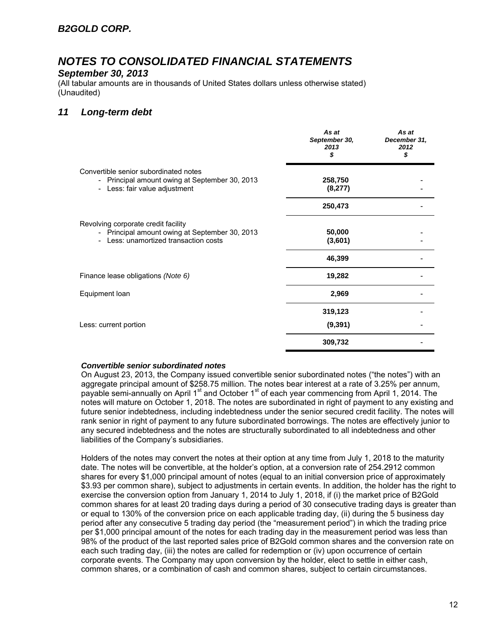## *B2GOLD CORP.*

## *NOTES TO CONSOLIDATED FINANCIAL STATEMENTS*

### *September 30, 2013*

(All tabular amounts are in thousands of United States dollars unless otherwise stated) (Unaudited)

## *11 Long-term debt*

|                                                                                                                                                          | As at<br>September 30,<br>2013<br>\$ | As at<br>December 31,<br>2012<br>\$ |
|----------------------------------------------------------------------------------------------------------------------------------------------------------|--------------------------------------|-------------------------------------|
| Convertible senior subordinated notes<br>- Principal amount owing at September 30, 2013<br>- Less: fair value adjustment                                 | 258,750<br>(8,277)                   |                                     |
|                                                                                                                                                          | 250,473                              |                                     |
| Revolving corporate credit facility<br>- Principal amount owing at September 30, 2013<br>Less: unamortized transaction costs<br>$\overline{\phantom{0}}$ | 50,000<br>(3,601)                    |                                     |
|                                                                                                                                                          | 46,399                               |                                     |
| Finance lease obligations (Note 6)                                                                                                                       | 19,282                               |                                     |
| Equipment loan                                                                                                                                           | 2,969                                |                                     |
|                                                                                                                                                          | 319,123                              |                                     |
| Less: current portion                                                                                                                                    | (9, 391)                             |                                     |
|                                                                                                                                                          | 309,732                              |                                     |

### *Convertible senior subordinated notes*

On August 23, 2013, the Company issued convertible senior subordinated notes ("the notes") with an aggregate principal amount of \$258.75 million. The notes bear interest at a rate of 3.25% per annum, payable semi-annually on April 1<sup>st</sup> and October 1<sup>st</sup> of each year commencing from April 1, 2014. The notes will mature on October 1, 2018. The notes are subordinated in right of payment to any existing and future senior indebtedness, including indebtedness under the senior secured credit facility. The notes will rank senior in right of payment to any future subordinated borrowings. The notes are effectively junior to any secured indebtedness and the notes are structurally subordinated to all indebtedness and other liabilities of the Company's subsidiaries.

Holders of the notes may convert the notes at their option at any time from July 1, 2018 to the maturity date. The notes will be convertible, at the holder's option, at a conversion rate of 254.2912 common shares for every \$1,000 principal amount of notes (equal to an initial conversion price of approximately \$3.93 per common share), subject to adjustments in certain events. In addition, the holder has the right to exercise the conversion option from January 1, 2014 to July 1, 2018, if (i) the market price of B2Gold common shares for at least 20 trading days during a period of 30 consecutive trading days is greater than or equal to 130% of the conversion price on each applicable trading day, (ii) during the 5 business day period after any consecutive 5 trading day period (the "measurement period") in which the trading price per \$1,000 principal amount of the notes for each trading day in the measurement period was less than 98% of the product of the last reported sales price of B2Gold common shares and the conversion rate on each such trading day, (iii) the notes are called for redemption or (iv) upon occurrence of certain corporate events. The Company may upon conversion by the holder, elect to settle in either cash, common shares, or a combination of cash and common shares, subject to certain circumstances.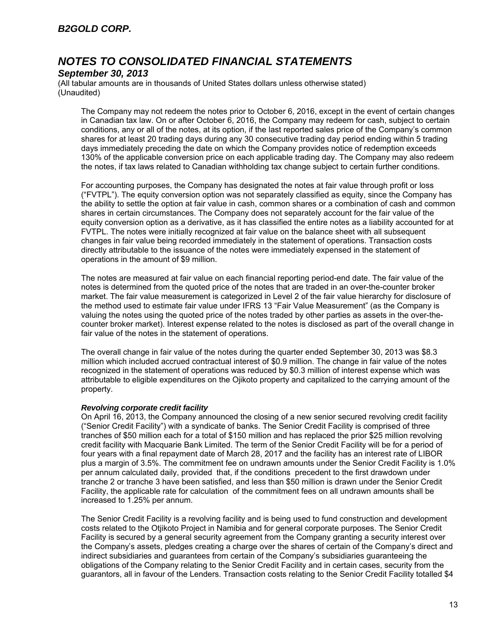### *September 30, 2013*

(All tabular amounts are in thousands of United States dollars unless otherwise stated) (Unaudited)

The Company may not redeem the notes prior to October 6, 2016, except in the event of certain changes in Canadian tax law. On or after October 6, 2016, the Company may redeem for cash, subject to certain conditions, any or all of the notes, at its option, if the last reported sales price of the Company's common shares for at least 20 trading days during any 30 consecutive trading day period ending within 5 trading days immediately preceding the date on which the Company provides notice of redemption exceeds 130% of the applicable conversion price on each applicable trading day. The Company may also redeem the notes, if tax laws related to Canadian withholding tax change subject to certain further conditions.

For accounting purposes, the Company has designated the notes at fair value through profit or loss ("FVTPL"). The equity conversion option was not separately classified as equity, since the Company has the ability to settle the option at fair value in cash, common shares or a combination of cash and common shares in certain circumstances. The Company does not separately account for the fair value of the equity conversion option as a derivative, as it has classified the entire notes as a liability accounted for at FVTPL. The notes were initially recognized at fair value on the balance sheet with all subsequent changes in fair value being recorded immediately in the statement of operations. Transaction costs directly attributable to the issuance of the notes were immediately expensed in the statement of operations in the amount of \$9 million.

The notes are measured at fair value on each financial reporting period-end date. The fair value of the notes is determined from the quoted price of the notes that are traded in an over-the-counter broker market. The fair value measurement is categorized in Level 2 of the fair value hierarchy for disclosure of the method used to estimate fair value under IFRS 13 "Fair Value Measurement" (as the Company is valuing the notes using the quoted price of the notes traded by other parties as assets in the over-thecounter broker market). Interest expense related to the notes is disclosed as part of the overall change in fair value of the notes in the statement of operations.

The overall change in fair value of the notes during the quarter ended September 30, 2013 was \$8.3 million which included accrued contractual interest of \$0.9 million. The change in fair value of the notes recognized in the statement of operations was reduced by \$0.3 million of interest expense which was attributable to eligible expenditures on the Ojikoto property and capitalized to the carrying amount of the property.

### *Revolving corporate credit facility*

On April 16, 2013, the Company announced the closing of a new senior secured revolving credit facility ("Senior Credit Facility") with a syndicate of banks. The Senior Credit Facility is comprised of three tranches of \$50 million each for a total of \$150 million and has replaced the prior \$25 million revolving credit facility with Macquarie Bank Limited. The term of the Senior Credit Facility will be for a period of four years with a final repayment date of March 28, 2017 and the facility has an interest rate of LIBOR plus a margin of 3.5%. The commitment fee on undrawn amounts under the Senior Credit Facility is 1.0% per annum calculated daily, provided that, if the conditions precedent to the first drawdown under tranche 2 or tranche 3 have been satisfied, and less than \$50 million is drawn under the Senior Credit Facility, the applicable rate for calculation of the commitment fees on all undrawn amounts shall be increased to 1.25% per annum.

The Senior Credit Facility is a revolving facility and is being used to fund construction and development costs related to the Otjikoto Project in Namibia and for general corporate purposes. The Senior Credit Facility is secured by a general security agreement from the Company granting a security interest over the Company's assets, pledges creating a charge over the shares of certain of the Company's direct and indirect subsidiaries and guarantees from certain of the Company's subsidiaries guaranteeing the obligations of the Company relating to the Senior Credit Facility and in certain cases, security from the guarantors, all in favour of the Lenders. Transaction costs relating to the Senior Credit Facility totalled \$4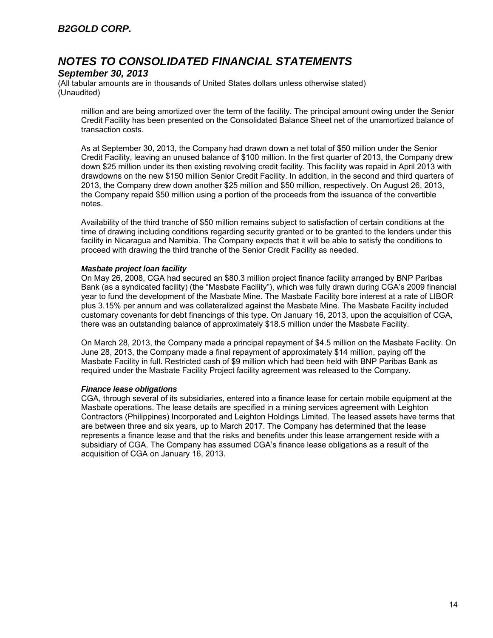### *September 30, 2013*

(All tabular amounts are in thousands of United States dollars unless otherwise stated) (Unaudited)

million and are being amortized over the term of the facility. The principal amount owing under the Senior Credit Facility has been presented on the Consolidated Balance Sheet net of the unamortized balance of transaction costs.

As at September 30, 2013, the Company had drawn down a net total of \$50 million under the Senior Credit Facility, leaving an unused balance of \$100 million. In the first quarter of 2013, the Company drew down \$25 million under its then existing revolving credit facility. This facility was repaid in April 2013 with drawdowns on the new \$150 million Senior Credit Facility. In addition, in the second and third quarters of 2013, the Company drew down another \$25 million and \$50 million, respectively. On August 26, 2013, the Company repaid \$50 million using a portion of the proceeds from the issuance of the convertible notes.

Availability of the third tranche of \$50 million remains subject to satisfaction of certain conditions at the time of drawing including conditions regarding security granted or to be granted to the lenders under this facility in Nicaragua and Namibia. The Company expects that it will be able to satisfy the conditions to proceed with drawing the third tranche of the Senior Credit Facility as needed.

### *Masbate project loan facility*

On May 26, 2008, CGA had secured an \$80.3 million project finance facility arranged by BNP Paribas Bank (as a syndicated facility) (the "Masbate Facility"), which was fully drawn during CGA's 2009 financial year to fund the development of the Masbate Mine. The Masbate Facility bore interest at a rate of LIBOR plus 3.15% per annum and was collateralized against the Masbate Mine. The Masbate Facility included customary covenants for debt financings of this type. On January 16, 2013, upon the acquisition of CGA, there was an outstanding balance of approximately \$18.5 million under the Masbate Facility.

On March 28, 2013, the Company made a principal repayment of \$4.5 million on the Masbate Facility. On June 28, 2013, the Company made a final repayment of approximately \$14 million, paying off the Masbate Facility in full. Restricted cash of \$9 million which had been held with BNP Paribas Bank as required under the Masbate Facility Project facility agreement was released to the Company.

### *Finance lease obligations*

CGA, through several of its subsidiaries, entered into a finance lease for certain mobile equipment at the Masbate operations. The lease details are specified in a mining services agreement with Leighton Contractors (Philippines) Incorporated and Leighton Holdings Limited. The leased assets have terms that are between three and six years, up to March 2017. The Company has determined that the lease represents a finance lease and that the risks and benefits under this lease arrangement reside with a subsidiary of CGA. The Company has assumed CGA's finance lease obligations as a result of the acquisition of CGA on January 16, 2013.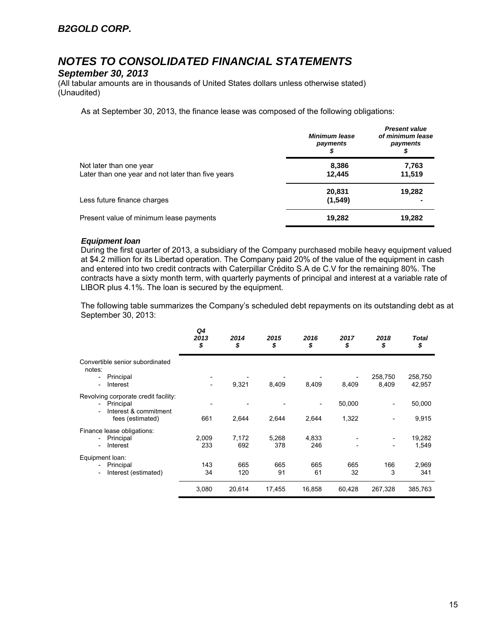### *September 30, 2013*

(All tabular amounts are in thousands of United States dollars unless otherwise stated) (Unaudited)

As at September 30, 2013, the finance lease was composed of the following obligations:

|                                                                              | <b>Minimum lease</b><br>payments | <b>Present value</b><br>of minimum lease<br>payments |
|------------------------------------------------------------------------------|----------------------------------|------------------------------------------------------|
| Not later than one year<br>Later than one year and not later than five years | 8,386<br>12.445                  | 7,763<br>11,519                                      |
| Less future finance charges                                                  | 20,831<br>(1, 549)               | 19,282                                               |
| Present value of minimum lease payments                                      | 19,282                           | 19,282                                               |

#### *Equipment loan*

During the first quarter of 2013, a subsidiary of the Company purchased mobile heavy equipment valued at \$4.2 million for its Libertad operation. The Company paid 20% of the value of the equipment in cash and entered into two credit contracts with Caterpillar Crédito S.A de C.V for the remaining 80%. The contracts have a sixty month term, with quarterly payments of principal and interest at a variable rate of LIBOR plus 4.1%. The loan is secured by the equipment.

The following table summarizes the Company's scheduled debt repayments on its outstanding debt as at September 30, 2013:

|                                                                                                                          | Q4<br>2013<br>\$ | 2014<br>\$   | 2015<br>\$   | 2016<br>\$   | 2017<br>\$                                           | 2018<br>\$                    | Total<br>\$       |
|--------------------------------------------------------------------------------------------------------------------------|------------------|--------------|--------------|--------------|------------------------------------------------------|-------------------------------|-------------------|
| Convertible senior subordinated<br>notes:                                                                                |                  |              |              |              |                                                      |                               |                   |
| Principal<br>$\overline{\phantom{a}}$<br>Interest<br>$\overline{\phantom{0}}$                                            |                  | 9,321        | 8,409        | 8,409        | 8,409                                                | 258,750<br>8,409              | 258,750<br>42,957 |
| Revolving corporate credit facility:<br>Principal<br>$\overline{\phantom{a}}$<br>Interest & commitment<br>$\overline{a}$ |                  |              |              |              | 50,000                                               | -                             | 50,000            |
| fees (estimated)                                                                                                         | 661              | 2,644        | 2,644        | 2,644        | 1,322                                                | -                             | 9,915             |
| Finance lease obligations:<br>Principal<br>$\overline{\phantom{a}}$<br>Interest<br>$\overline{\phantom{a}}$              | 2,009<br>233     | 7,172<br>692 | 5,268<br>378 | 4,833<br>246 | $\overline{\phantom{0}}$<br>$\overline{\phantom{a}}$ | -<br>$\overline{\phantom{a}}$ | 19,282<br>1,549   |
| Equipment loan:<br>Principal<br>$\overline{\phantom{a}}$<br>Interest (estimated)<br>$\overline{\phantom{a}}$             | 143<br>34        | 665<br>120   | 665<br>91    | 665<br>61    | 665<br>32                                            | 166<br>3                      | 2,969<br>341      |
|                                                                                                                          | 3,080            | 20,614       | 17,455       | 16,858       | 60,428                                               | 267,328                       | 385,763           |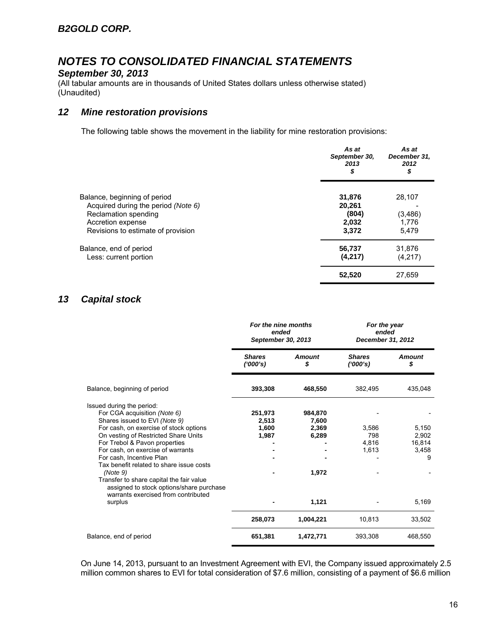## *September 30, 2013*

(All tabular amounts are in thousands of United States dollars unless otherwise stated) (Unaudited)

## *12 Mine restoration provisions*

The following table shows the movement in the liability for mine restoration provisions:

|                                                                                 | As at<br>September 30,<br>2013<br>\$ | As at<br>December 31,<br>2012<br>\$ |
|---------------------------------------------------------------------------------|--------------------------------------|-------------------------------------|
| Balance, beginning of period<br>Acquired during the period (Note 6)             | 31,876<br>20,261                     | 28,107                              |
| Reclamation spending<br>Accretion expense<br>Revisions to estimate of provision | (804)<br>2,032<br>3,372              | (3,486)<br>1,776<br>5.479           |
| Balance, end of period<br>Less: current portion                                 | 56,737<br>(4,217)                    | 31,876<br>(4,217)                   |
|                                                                                 | 52,520                               | 27,659                              |

## *13 Capital stock*

|                                                                                                                                                                                                                                                    | For the nine months<br>ended<br>September 30, 2013 |                                    | For the year<br>ended<br>December 31, 2012 |                                   |
|----------------------------------------------------------------------------------------------------------------------------------------------------------------------------------------------------------------------------------------------------|----------------------------------------------------|------------------------------------|--------------------------------------------|-----------------------------------|
|                                                                                                                                                                                                                                                    | <b>Shares</b><br>(000's)                           | <b>Amount</b><br>\$                | <b>Shares</b><br>(1000's)                  | <b>Amount</b><br>\$               |
| Balance, beginning of period                                                                                                                                                                                                                       | 393,308                                            | 468,550                            | 382,495                                    | 435,048                           |
| Issued during the period:<br>For CGA acquisition (Note 6)<br>Shares issued to EVI (Note 9)<br>For cash, on exercise of stock options<br>On vesting of Restricted Share Units<br>For Trebol & Pavon properties<br>For cash, on exercise of warrants | 251,973<br>2,513<br>1,600<br>1,987                 | 984,870<br>7,600<br>2,369<br>6,289 | 3,586<br>798<br>4,816<br>1,613             | 5,150<br>2,902<br>16,814<br>3,458 |
| For cash. Incentive Plan<br>Tax benefit related to share issue costs<br>(Note 9)<br>Transfer to share capital the fair value<br>assigned to stock options/share purchase<br>warrants exercised from contributed<br>surplus                         |                                                    | 1,972<br>1,121                     |                                            | 9<br>5,169                        |
|                                                                                                                                                                                                                                                    | 258,073                                            | 1,004,221                          | 10,813                                     | 33,502                            |
| Balance, end of period                                                                                                                                                                                                                             | 651,381                                            | 1,472,771                          | 393,308                                    | 468.550                           |

On June 14, 2013, pursuant to an Investment Agreement with EVI, the Company issued approximately 2.5 million common shares to EVI for total consideration of \$7.6 million, consisting of a payment of \$6.6 million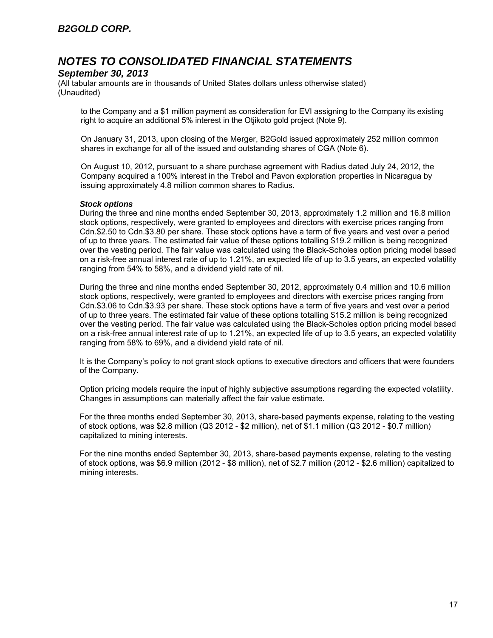### *September 30, 2013*

(All tabular amounts are in thousands of United States dollars unless otherwise stated) (Unaudited)

to the Company and a \$1 million payment as consideration for EVI assigning to the Company its existing right to acquire an additional 5% interest in the Otjikoto gold project (Note 9).

On January 31, 2013, upon closing of the Merger, B2Gold issued approximately 252 million common shares in exchange for all of the issued and outstanding shares of CGA (Note 6).

On August 10, 2012, pursuant to a share purchase agreement with Radius dated July 24, 2012, the Company acquired a 100% interest in the Trebol and Pavon exploration properties in Nicaragua by issuing approximately 4.8 million common shares to Radius.

### *Stock options*

During the three and nine months ended September 30, 2013, approximately 1.2 million and 16.8 million stock options, respectively, were granted to employees and directors with exercise prices ranging from Cdn.\$2.50 to Cdn.\$3.80 per share. These stock options have a term of five years and vest over a period of up to three years. The estimated fair value of these options totalling \$19.2 million is being recognized over the vesting period. The fair value was calculated using the Black-Scholes option pricing model based on a risk-free annual interest rate of up to 1.21%, an expected life of up to 3.5 years, an expected volatility ranging from 54% to 58%, and a dividend yield rate of nil.

During the three and nine months ended September 30, 2012, approximately 0.4 million and 10.6 million stock options, respectively, were granted to employees and directors with exercise prices ranging from Cdn.\$3.06 to Cdn.\$3.93 per share. These stock options have a term of five years and vest over a period of up to three years. The estimated fair value of these options totalling \$15.2 million is being recognized over the vesting period. The fair value was calculated using the Black-Scholes option pricing model based on a risk-free annual interest rate of up to 1.21%, an expected life of up to 3.5 years, an expected volatility ranging from 58% to 69%, and a dividend yield rate of nil.

It is the Company's policy to not grant stock options to executive directors and officers that were founders of the Company.

Option pricing models require the input of highly subjective assumptions regarding the expected volatility. Changes in assumptions can materially affect the fair value estimate.

For the three months ended September 30, 2013, share-based payments expense, relating to the vesting of stock options, was \$2.8 million (Q3 2012 - \$2 million), net of \$1.1 million (Q3 2012 - \$0.7 million) capitalized to mining interests.

For the nine months ended September 30, 2013, share-based payments expense, relating to the vesting of stock options, was \$6.9 million (2012 - \$8 million), net of \$2.7 million (2012 - \$2.6 million) capitalized to mining interests.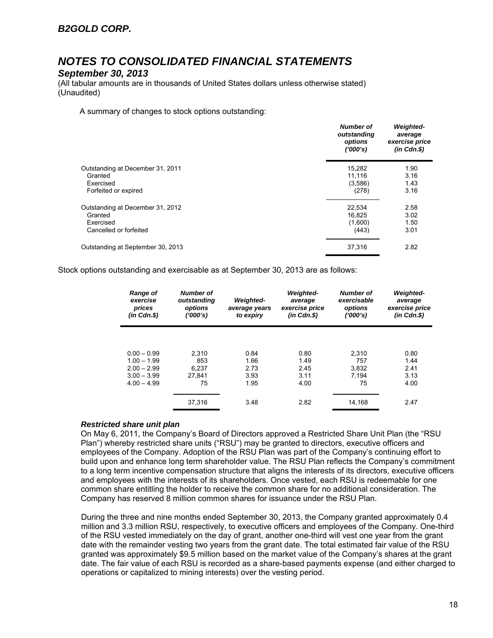### *September 30, 2013*

(All tabular amounts are in thousands of United States dollars unless otherwise stated) (Unaudited)

A summary of changes to stock options outstanding:

|                                                                                    | Number of<br>outstanding<br>options<br>(1000's) | <b>Weighted-</b><br>average<br>exercise price<br>$(in$ $Cdn.S)$ |
|------------------------------------------------------------------------------------|-------------------------------------------------|-----------------------------------------------------------------|
| Outstanding at December 31, 2011<br>Granted<br>Exercised                           | 15,282<br>11.116<br>(3,586)                     | 1.90<br>3.16<br>1.43                                            |
| Forfeited or expired                                                               | (278)                                           | 3.16                                                            |
| Outstanding at December 31, 2012<br>Granted<br>Exercised<br>Cancelled or forfeited | 22,534<br>16.825<br>(1,600)<br>(443)            | 2.58<br>3.02<br>1.50<br>3.01                                    |
| Outstanding at September 30, 2013                                                  | 37,316                                          | 2.82                                                            |

Stock options outstanding and exercisable as at September 30, 2013 are as follows:

| <b>Range of</b><br>exercise<br>prices<br>$(in$ $Cdn.S)$ | <b>Number of</b><br>outstanding<br>options<br>('000's) | <b>Weighted-</b><br>average years<br>to expiry | <b>Weighted-</b><br>average<br>exercise price<br>$(in$ $Cdn.S)$ | <b>Number of</b><br>exercisable<br>options<br>(1000's) | <b>Weighted-</b><br>average<br>exercise price<br>$(in$ $Cdn.S)$ |
|---------------------------------------------------------|--------------------------------------------------------|------------------------------------------------|-----------------------------------------------------------------|--------------------------------------------------------|-----------------------------------------------------------------|
|                                                         |                                                        |                                                |                                                                 |                                                        |                                                                 |
| $0.00 - 0.99$                                           | 2.310                                                  | 0.84                                           | 0.80                                                            | 2.310                                                  | 0.80                                                            |
| $1.00 - 1.99$                                           | 853                                                    | 1.66                                           | 1.49                                                            | 757                                                    | 1.44                                                            |
| $2.00 - 2.99$                                           | 6.237                                                  | 2.73                                           | 2.45                                                            | 3,832                                                  | 2.41                                                            |
| $3.00 - 3.99$                                           | 27.841                                                 | 3.93                                           | 3.11                                                            | 7.194                                                  | 3.13                                                            |
| $4.00 - 4.99$                                           | 75                                                     | 1.95                                           | 4.00                                                            | 75                                                     | 4.00                                                            |
|                                                         | 37.316                                                 | 3.48                                           | 2.82                                                            | 14,168                                                 | 2.47                                                            |
|                                                         |                                                        |                                                |                                                                 |                                                        |                                                                 |

### *Restricted share unit plan*

On May 6, 2011, the Company's Board of Directors approved a Restricted Share Unit Plan (the "RSU Plan") whereby restricted share units ("RSU") may be granted to directors, executive officers and employees of the Company. Adoption of the RSU Plan was part of the Company's continuing effort to build upon and enhance long term shareholder value. The RSU Plan reflects the Company's commitment to a long term incentive compensation structure that aligns the interests of its directors, executive officers and employees with the interests of its shareholders. Once vested, each RSU is redeemable for one common share entitling the holder to receive the common share for no additional consideration. The Company has reserved 8 million common shares for issuance under the RSU Plan.

During the three and nine months ended September 30, 2013, the Company granted approximately 0.4 million and 3.3 million RSU, respectively, to executive officers and employees of the Company. One-third of the RSU vested immediately on the day of grant, another one-third will vest one year from the grant date with the remainder vesting two years from the grant date. The total estimated fair value of the RSU granted was approximately \$9.5 million based on the market value of the Company's shares at the grant date. The fair value of each RSU is recorded as a share-based payments expense (and either charged to operations or capitalized to mining interests) over the vesting period.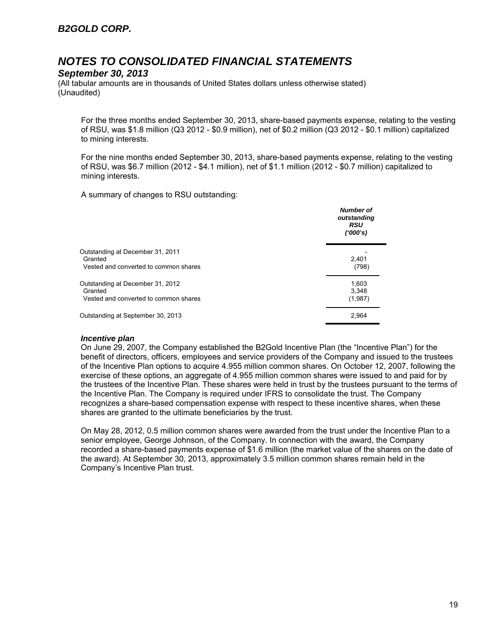### *September 30, 2013*

(All tabular amounts are in thousands of United States dollars unless otherwise stated) (Unaudited)

For the three months ended September 30, 2013, share-based payments expense, relating to the vesting of RSU, was \$1.8 million (Q3 2012 - \$0.9 million), net of \$0.2 million (Q3 2012 - \$0.1 million) capitalized to mining interests.

For the nine months ended September 30, 2013, share-based payments expense, relating to the vesting of RSU, was \$6.7 million (2012 - \$4.1 million), net of \$1.1 million (2012 - \$0.7 million) capitalized to mining interests.

A summary of changes to RSU outstanding:

|                                                                                      | <b>Number of</b><br>outstanding<br>RSU<br>(1000's) |
|--------------------------------------------------------------------------------------|----------------------------------------------------|
| Outstanding at December 31, 2011<br>Granted<br>Vested and converted to common shares | 2.401<br>(798)                                     |
| Outstanding at December 31, 2012<br>Granted<br>Vested and converted to common shares | 1,603<br>3.348<br>(1,987)                          |
| Outstanding at September 30, 2013                                                    | 2,964                                              |

### *Incentive plan*

On June 29, 2007, the Company established the B2Gold Incentive Plan (the "Incentive Plan") for the benefit of directors, officers, employees and service providers of the Company and issued to the trustees of the Incentive Plan options to acquire 4.955 million common shares. On October 12, 2007, following the exercise of these options, an aggregate of 4.955 million common shares were issued to and paid for by the trustees of the Incentive Plan. These shares were held in trust by the trustees pursuant to the terms of the Incentive Plan. The Company is required under IFRS to consolidate the trust. The Company recognizes a share-based compensation expense with respect to these incentive shares, when these shares are granted to the ultimate beneficiaries by the trust.

On May 28, 2012, 0.5 million common shares were awarded from the trust under the Incentive Plan to a senior employee, George Johnson, of the Company. In connection with the award, the Company recorded a share-based payments expense of \$1.6 million (the market value of the shares on the date of the award). At September 30, 2013, approximately 3.5 million common shares remain held in the Company's Incentive Plan trust.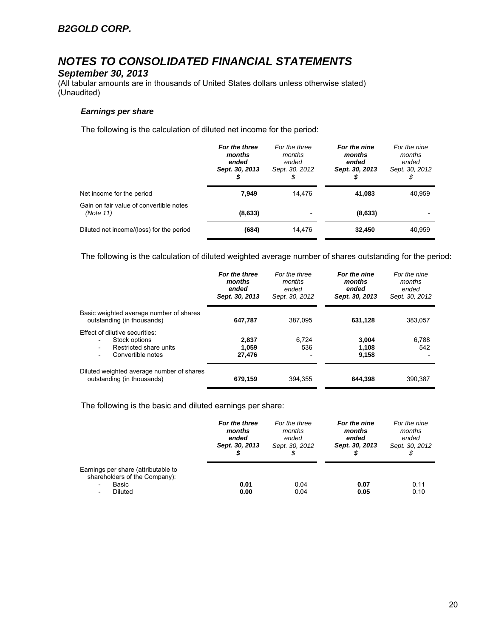## *September 30, 2013*

(All tabular amounts are in thousands of United States dollars unless otherwise stated) (Unaudited)

### *Earnings per share*

The following is the calculation of diluted net income for the period:

|                                                      | For the three<br>months<br>ended<br>Sept. 30, 2013 | For the three<br>months<br>ended<br>Sept. 30, 2012 | For the nine<br>months<br>ended<br>Sept. 30, 2013 | For the nine<br>months<br>ended<br>Sept. 30, 2012 |
|------------------------------------------------------|----------------------------------------------------|----------------------------------------------------|---------------------------------------------------|---------------------------------------------------|
| Net income for the period                            | 7.949                                              | 14.476                                             | 41,083                                            | 40,959                                            |
| Gain on fair value of convertible notes<br>(Note 11) | (8,633)                                            |                                                    | (8,633)                                           |                                                   |
| Diluted net income/(loss) for the period             | (684)                                              | 14.476                                             | 32,450                                            | 40,959                                            |

The following is the calculation of diluted weighted average number of shares outstanding for the period:

|                                                                                                                                                        | For the three<br>months<br>ended<br>Sept. 30, 2013 | For the three<br>months<br>ended<br>Sept. 30, 2012 | For the nine<br>months<br>ended<br>Sept. 30, 2013 | For the nine<br>months<br>ended<br>Sept. 30, 2012 |
|--------------------------------------------------------------------------------------------------------------------------------------------------------|----------------------------------------------------|----------------------------------------------------|---------------------------------------------------|---------------------------------------------------|
| Basic weighted average number of shares<br>outstanding (in thousands)                                                                                  | 647.787                                            | 387.095                                            | 631.128                                           | 383.057                                           |
| Effect of dilutive securities:<br>Stock options<br>Restricted share units<br>$\overline{\phantom{0}}$<br>Convertible notes<br>$\overline{\phantom{a}}$ | 2.837<br>1.059<br>27.476                           | 6.724<br>536                                       | 3.004<br>1,108<br>9.158                           | 6,788<br>542                                      |
| Diluted weighted average number of shares<br>outstanding (in thousands)                                                                                | 679,159                                            | 394.355                                            | 644.398                                           | 390.387                                           |

The following is the basic and diluted earnings per share:

|                                                                                               | For the three  | For the three  | For the nine   | For the nine   |
|-----------------------------------------------------------------------------------------------|----------------|----------------|----------------|----------------|
|                                                                                               | months         | months         | months         | months         |
|                                                                                               | ended          | ended          | ended          | ended          |
|                                                                                               | Sept. 30, 2013 | Sept. 30, 2012 | Sept. 30, 2013 | Sept. 30, 2012 |
| Earnings per share (attributable to<br>shareholders of the Company):<br>Basic<br>Diluted<br>- | 0.01<br>0.00   | 0.04<br>0.04   | 0.07<br>0.05   | 0.11<br>0.10   |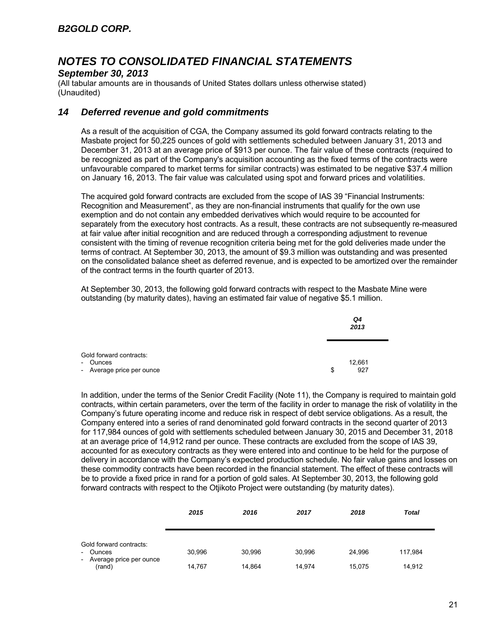## *September 30, 2013*

(All tabular amounts are in thousands of United States dollars unless otherwise stated) (Unaudited)

## *14 Deferred revenue and gold commitments*

As a result of the acquisition of CGA, the Company assumed its gold forward contracts relating to the Masbate project for 50,225 ounces of gold with settlements scheduled between January 31, 2013 and December 31, 2013 at an average price of \$913 per ounce. The fair value of these contracts (required to be recognized as part of the Company's acquisition accounting as the fixed terms of the contracts were unfavourable compared to market terms for similar contracts) was estimated to be negative \$37.4 million on January 16, 2013. The fair value was calculated using spot and forward prices and volatilities.

The acquired gold forward contracts are excluded from the scope of IAS 39 "Financial Instruments: Recognition and Measurement", as they are non-financial instruments that qualify for the own use exemption and do not contain any embedded derivatives which would require to be accounted for separately from the executory host contracts. As a result, these contracts are not subsequently re-measured at fair value after initial recognition and are reduced through a corresponding adjustment to revenue consistent with the timing of revenue recognition criteria being met for the gold deliveries made under the terms of contract. At September 30, 2013, the amount of \$9.3 million was outstanding and was presented on the consolidated balance sheet as deferred revenue, and is expected to be amortized over the remainder of the contract terms in the fourth quarter of 2013.

At September 30, 2013, the following gold forward contracts with respect to the Masbate Mine were outstanding (by maturity dates), having an estimated fair value of negative \$5.1 million.

|                                                                  | Q4<br>2013          |
|------------------------------------------------------------------|---------------------|
| Gold forward contracts:<br>- Ounces<br>- Average price per ounce | 12,661<br>927<br>\$ |

In addition, under the terms of the Senior Credit Facility (Note 11), the Company is required to maintain gold contracts, within certain parameters, over the term of the facility in order to manage the risk of volatility in the Company's future operating income and reduce risk in respect of debt service obligations. As a result, the Company entered into a series of rand denominated gold forward contracts in the second quarter of 2013 for 117,984 ounces of gold with settlements scheduled between January 30, 2015 and December 31, 2018 at an average price of 14,912 rand per ounce. These contracts are excluded from the scope of IAS 39, accounted for as executory contracts as they were entered into and continue to be held for the purpose of delivery in accordance with the Company's expected production schedule. No fair value gains and losses on these commodity contracts have been recorded in the financial statement. The effect of these contracts will be to provide a fixed price in rand for a portion of gold sales. At September 30, 2013, the following gold forward contracts with respect to the Otjikoto Project were outstanding (by maturity dates).

|                                                                            | 2015             | 2016             | 2017             | 2018             | Total             |
|----------------------------------------------------------------------------|------------------|------------------|------------------|------------------|-------------------|
| Gold forward contracts:<br>- Ounces<br>- Average price per ounce<br>(rand) | 30.996<br>14,767 | 30.996<br>14,864 | 30.996<br>14,974 | 24.996<br>15,075 | 117.984<br>14,912 |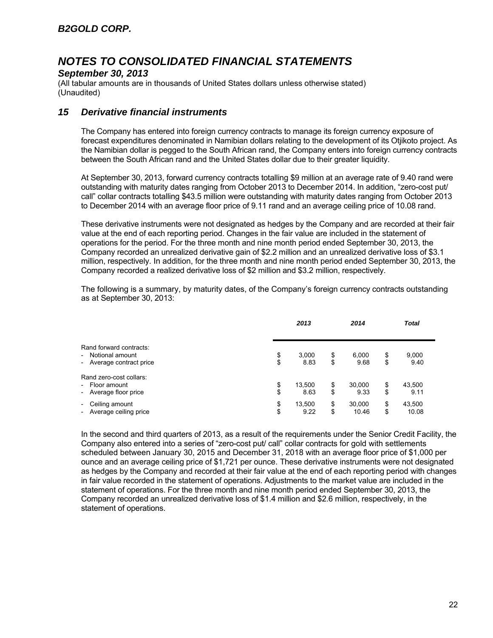### *September 30, 2013*

(All tabular amounts are in thousands of United States dollars unless otherwise stated) (Unaudited)

### *15 Derivative financial instruments*

The Company has entered into foreign currency contracts to manage its foreign currency exposure of forecast expenditures denominated in Namibian dollars relating to the development of its Otjikoto project. As the Namibian dollar is pegged to the South African rand, the Company enters into foreign currency contracts between the South African rand and the United States dollar due to their greater liquidity.

At September 30, 2013, forward currency contracts totalling \$9 million at an average rate of 9.40 rand were outstanding with maturity dates ranging from October 2013 to December 2014. In addition, "zero-cost put/ call" collar contracts totalling \$43.5 million were outstanding with maturity dates ranging from October 2013 to December 2014 with an average floor price of 9.11 rand and an average ceiling price of 10.08 rand.

These derivative instruments were not designated as hedges by the Company and are recorded at their fair value at the end of each reporting period. Changes in the fair value are included in the statement of operations for the period. For the three month and nine month period ended September 30, 2013, the Company recorded an unrealized derivative gain of \$2.2 million and an unrealized derivative loss of \$3.1 million, respectively. In addition, for the three month and nine month period ended September 30, 2013, the Company recorded a realized derivative loss of \$2 million and \$3.2 million, respectively.

The following is a summary, by maturity dates, of the Company's foreign currency contracts outstanding as at September 30, 2013:

|                                                                          |          | 2013           |          | 2014            |          | <b>Total</b>    |
|--------------------------------------------------------------------------|----------|----------------|----------|-----------------|----------|-----------------|
| Rand forward contracts:<br>- Notional amount<br>- Average contract price | \$<br>\$ | 3,000<br>8.83  | \$<br>\$ | 6,000<br>9.68   | \$<br>\$ | 9,000<br>9.40   |
| Rand zero-cost collars:<br>- Floor amount<br>- Average floor price       | \$<br>\$ | 13,500<br>8.63 | \$<br>\$ | 30,000<br>9.33  | \$<br>\$ | 43,500<br>9.11  |
| Ceiling amount<br>$\sim$<br>- Average ceiling price                      | \$<br>\$ | 13,500<br>9.22 | \$<br>\$ | 30,000<br>10.46 | \$<br>\$ | 43,500<br>10.08 |

In the second and third quarters of 2013, as a result of the requirements under the Senior Credit Facility, the Company also entered into a series of "zero-cost put/ call" collar contracts for gold with settlements scheduled between January 30, 2015 and December 31, 2018 with an average floor price of \$1,000 per ounce and an average ceiling price of \$1,721 per ounce. These derivative instruments were not designated as hedges by the Company and recorded at their fair value at the end of each reporting period with changes in fair value recorded in the statement of operations. Adjustments to the market value are included in the statement of operations. For the three month and nine month period ended September 30, 2013, the Company recorded an unrealized derivative loss of \$1.4 million and \$2.6 million, respectively, in the statement of operations.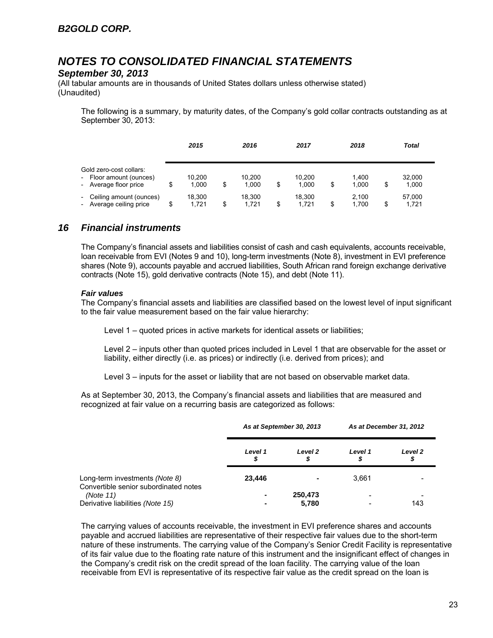### *September 30, 2013*

(All tabular amounts are in thousands of United States dollars unless otherwise stated) (Unaudited)

The following is a summary, by maturity dates, of the Company's gold collar contracts outstanding as at September 30, 2013:

|                                                                             | 2015                  | 2016                  | 2017                  |    | 2018           | <b>Total</b>          |  |
|-----------------------------------------------------------------------------|-----------------------|-----------------------|-----------------------|----|----------------|-----------------------|--|
| Gold zero-cost collars:<br>- Floor amount (ounces)<br>- Average floor price | \$<br>10.200<br>1.000 | \$<br>10.200<br>1.000 | \$<br>10.200<br>1.000 | \$ | 1.400<br>1.000 | \$<br>32.000<br>1,000 |  |
| - Ceiling amount (ounces)<br>- Average ceiling price                        | \$<br>18.300<br>1.721 | \$<br>18.300<br>1.721 | \$<br>18.300<br>1.721 | S  | 2.100<br>1.700 | \$<br>57,000<br>1.721 |  |

## *16 Financial instruments*

The Company's financial assets and liabilities consist of cash and cash equivalents, accounts receivable, loan receivable from EVI (Notes 9 and 10), long-term investments (Note 8), investment in EVI preference shares (Note 9), accounts payable and accrued liabilities, South African rand foreign exchange derivative contracts (Note 15), gold derivative contracts (Note 15), and debt (Note 11).

### *Fair values*

The Company's financial assets and liabilities are classified based on the lowest level of input significant to the fair value measurement based on the fair value hierarchy:

Level 1 – quoted prices in active markets for identical assets or liabilities;

Level 2 – inputs other than quoted prices included in Level 1 that are observable for the asset or liability, either directly (i.e. as prices) or indirectly (i.e. derived from prices); and

Level 3 – inputs for the asset or liability that are not based on observable market data.

As at September 30, 2013, the Company's financial assets and liabilities that are measured and recognized at fair value on a recurring basis are categorized as follows:

|                                                                         |               | As at September 30, 2013 |         | As at December 31, 2012 |
|-------------------------------------------------------------------------|---------------|--------------------------|---------|-------------------------|
|                                                                         | Level 1<br>\$ | Level 2<br>\$            | Level 1 | Level 2<br>\$           |
| Long-term investments (Note 8)<br>Convertible senior subordinated notes | 23.446        |                          | 3.661   |                         |
| (Note 11)<br>Derivative liabilities (Note 15)                           |               | 250,473<br>5,780         |         | 143                     |

The carrying values of accounts receivable, the investment in EVI preference shares and accounts payable and accrued liabilities are representative of their respective fair values due to the short-term nature of these instruments. The carrying value of the Company's Senior Credit Facility is representative of its fair value due to the floating rate nature of this instrument and the insignificant effect of changes in the Company's credit risk on the credit spread of the loan facility. The carrying value of the loan receivable from EVI is representative of its respective fair value as the credit spread on the loan is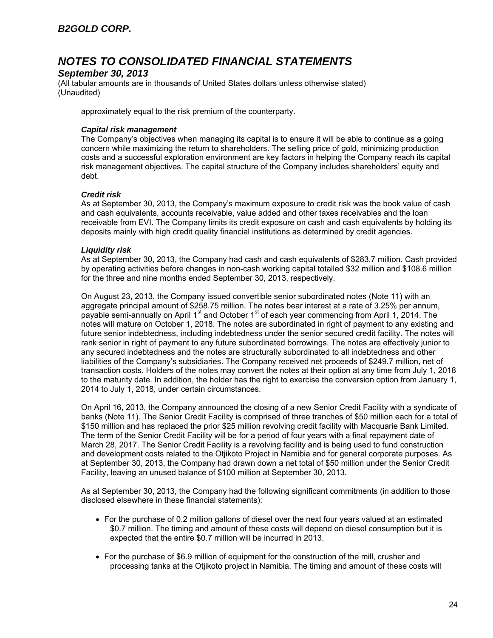## *September 30, 2013*

(All tabular amounts are in thousands of United States dollars unless otherwise stated) (Unaudited)

approximately equal to the risk premium of the counterparty.

### *Capital risk management*

The Company's objectives when managing its capital is to ensure it will be able to continue as a going concern while maximizing the return to shareholders. The selling price of gold, minimizing production costs and a successful exploration environment are key factors in helping the Company reach its capital risk management objectives. The capital structure of the Company includes shareholders' equity and debt.

### *Credit risk*

As at September 30, 2013, the Company's maximum exposure to credit risk was the book value of cash and cash equivalents, accounts receivable, value added and other taxes receivables and the loan receivable from EVI. The Company limits its credit exposure on cash and cash equivalents by holding its deposits mainly with high credit quality financial institutions as determined by credit agencies.

### *Liquidity risk*

As at September 30, 2013, the Company had cash and cash equivalents of \$283.7 million. Cash provided by operating activities before changes in non-cash working capital totalled \$32 million and \$108.6 million for the three and nine months ended September 30, 2013, respectively.

On August 23, 2013, the Company issued convertible senior subordinated notes (Note 11) with an aggregate principal amount of \$258.75 million. The notes bear interest at a rate of 3.25% per annum, payable semi-annually on April 1<sup>st</sup> and October 1<sup>st</sup> of each year commencing from April 1, 2014. The notes will mature on October 1, 2018. The notes are subordinated in right of payment to any existing and future senior indebtedness, including indebtedness under the senior secured credit facility. The notes will rank senior in right of payment to any future subordinated borrowings. The notes are effectively junior to any secured indebtedness and the notes are structurally subordinated to all indebtedness and other liabilities of the Company's subsidiaries. The Company received net proceeds of \$249.7 million, net of transaction costs. Holders of the notes may convert the notes at their option at any time from July 1, 2018 to the maturity date. In addition, the holder has the right to exercise the conversion option from January 1, 2014 to July 1, 2018, under certain circumstances.

On April 16, 2013, the Company announced the closing of a new Senior Credit Facility with a syndicate of banks (Note 11). The Senior Credit Facility is comprised of three tranches of \$50 million each for a total of \$150 million and has replaced the prior \$25 million revolving credit facility with Macquarie Bank Limited. The term of the Senior Credit Facility will be for a period of four years with a final repayment date of March 28, 2017. The Senior Credit Facility is a revolving facility and is being used to fund construction and development costs related to the Otjikoto Project in Namibia and for general corporate purposes. As at September 30, 2013, the Company had drawn down a net total of \$50 million under the Senior Credit Facility, leaving an unused balance of \$100 million at September 30, 2013.

As at September 30, 2013, the Company had the following significant commitments (in addition to those disclosed elsewhere in these financial statements):

- For the purchase of 0.2 million gallons of diesel over the next four years valued at an estimated \$0.7 million. The timing and amount of these costs will depend on diesel consumption but it is expected that the entire \$0.7 million will be incurred in 2013.
- For the purchase of \$6.9 million of equipment for the construction of the mill, crusher and processing tanks at the Otjikoto project in Namibia. The timing and amount of these costs will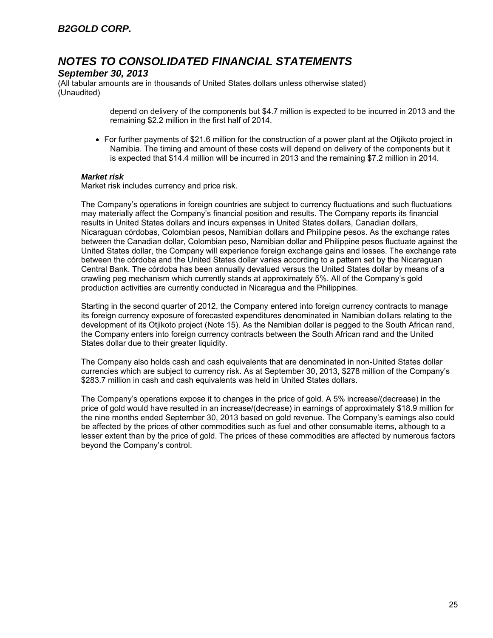## *September 30, 2013*

(All tabular amounts are in thousands of United States dollars unless otherwise stated) (Unaudited)

> depend on delivery of the components but \$4.7 million is expected to be incurred in 2013 and the remaining \$2.2 million in the first half of 2014.

 For further payments of \$21.6 million for the construction of a power plant at the Otjikoto project in Namibia. The timing and amount of these costs will depend on delivery of the components but it is expected that \$14.4 million will be incurred in 2013 and the remaining \$7.2 million in 2014.

### *Market risk*

Market risk includes currency and price risk.

The Company's operations in foreign countries are subject to currency fluctuations and such fluctuations may materially affect the Company's financial position and results. The Company reports its financial results in United States dollars and incurs expenses in United States dollars, Canadian dollars, Nicaraguan córdobas, Colombian pesos, Namibian dollars and Philippine pesos. As the exchange rates between the Canadian dollar, Colombian peso, Namibian dollar and Philippine pesos fluctuate against the United States dollar, the Company will experience foreign exchange gains and losses. The exchange rate between the córdoba and the United States dollar varies according to a pattern set by the Nicaraguan Central Bank. The córdoba has been annually devalued versus the United States dollar by means of a crawling peg mechanism which currently stands at approximately 5%. All of the Company's gold production activities are currently conducted in Nicaragua and the Philippines.

Starting in the second quarter of 2012, the Company entered into foreign currency contracts to manage its foreign currency exposure of forecasted expenditures denominated in Namibian dollars relating to the development of its Otjikoto project (Note 15). As the Namibian dollar is pegged to the South African rand, the Company enters into foreign currency contracts between the South African rand and the United States dollar due to their greater liquidity.

The Company also holds cash and cash equivalents that are denominated in non-United States dollar currencies which are subject to currency risk. As at September 30, 2013, \$278 million of the Company's \$283.7 million in cash and cash equivalents was held in United States dollars.

The Company's operations expose it to changes in the price of gold. A 5% increase/(decrease) in the price of gold would have resulted in an increase/(decrease) in earnings of approximately \$18.9 million for the nine months ended September 30, 2013 based on gold revenue. The Company's earnings also could be affected by the prices of other commodities such as fuel and other consumable items, although to a lesser extent than by the price of gold. The prices of these commodities are affected by numerous factors beyond the Company's control.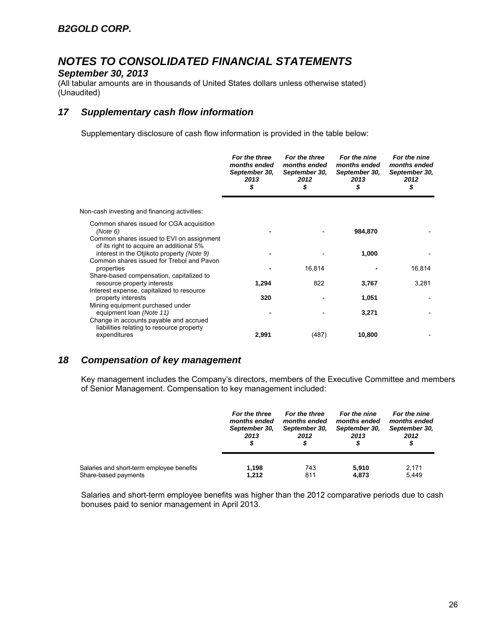## *September 30, 2013*

(All tabular amounts are in thousands of United States dollars unless otherwise stated) (Unaudited)

## *17 Supplementary cash flow information*

Supplementary disclosure of cash flow information is provided in the table below:

|                                                                                                                                                     | For the three<br>months ended<br>September 30,<br>2013<br>\$ | For the three<br>months ended<br>September 30,<br>2012<br>\$ | For the nine<br>months ended<br>September 30,<br>2013<br>\$ | For the nine<br>months ended<br>September 30,<br>2012<br>\$ |
|-----------------------------------------------------------------------------------------------------------------------------------------------------|--------------------------------------------------------------|--------------------------------------------------------------|-------------------------------------------------------------|-------------------------------------------------------------|
| Non-cash investing and financing activities:                                                                                                        |                                                              |                                                              |                                                             |                                                             |
| Common shares issued for CGA acquisition<br>(Note 6)<br>Common shares issued to EVI on assignment                                                   |                                                              |                                                              | 984,870                                                     |                                                             |
| of its right to acquire an additional 5%<br>interest in the Otjikoto property (Note 9)<br>Common shares issued for Trebol and Pavon                 |                                                              |                                                              | 1,000                                                       |                                                             |
| properties<br>Share-based compensation, capitalized to                                                                                              |                                                              | 16,814                                                       |                                                             | 16,814                                                      |
| resource property interests<br>Interest expense, capitalized to resource                                                                            | 1,294                                                        | 822                                                          | 3,767                                                       | 3,281                                                       |
| property interests                                                                                                                                  | 320                                                          |                                                              | 1,051                                                       |                                                             |
| Mining equipment purchased under<br>equipment loan (Note 11)<br>Change in accounts payable and accrued<br>liabilities relating to resource property |                                                              |                                                              | 3,271                                                       |                                                             |
| expenditures                                                                                                                                        | 2,991                                                        | (487)                                                        | 10,800                                                      |                                                             |

## *18 Compensation of key management*

Key management includes the Company's directors, members of the Executive Committee and members of Senior Management. Compensation to key management included:

|                                           | For the three<br>months ended<br>September 30,<br>2013<br>\$ | For the three<br>months ended<br>September 30,<br>2012 | For the nine<br>months ended<br>September 30,<br>2013<br>\$ | For the nine<br>months ended<br>September 30,<br>2012<br>\$ |
|-------------------------------------------|--------------------------------------------------------------|--------------------------------------------------------|-------------------------------------------------------------|-------------------------------------------------------------|
| Salaries and short-term employee benefits | 1,198                                                        | 743                                                    | 5.910                                                       | 2.171                                                       |
| Share-based payments                      | 1,212                                                        | 811                                                    | 4,873                                                       | 5,449                                                       |

Salaries and short-term employee benefits was higher than the 2012 comparative periods due to cash bonuses paid to senior management in April 2013.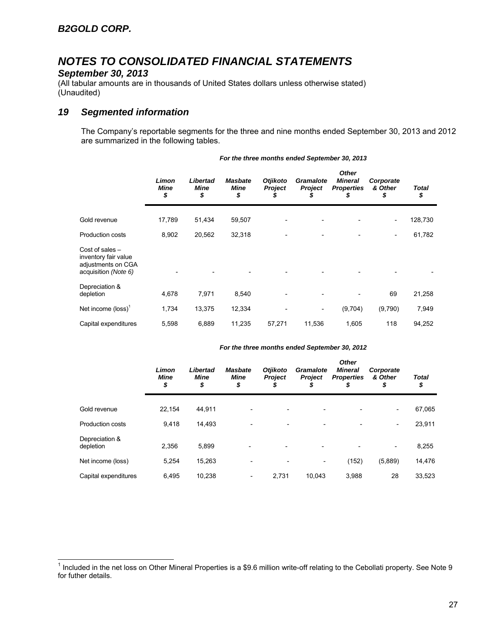## *September 30, 2013*

(All tabular amounts are in thousands of United States dollars unless otherwise stated) (Unaudited)

## *19 Segmented information*

The Company's reportable segments for the three and nine months ended September 30, 2013 and 2012 are summarized in the following tables.

|                                                                                         | Limon<br><b>Mine</b><br>\$ | Libertad<br><b>Mine</b><br>\$ | <b>Masbate</b><br><b>Mine</b><br>\$ | <b>Otjikoto</b><br><b>Project</b><br>\$ | Gramalote<br><b>Project</b><br>\$ | <b>Other</b><br><b>Mineral</b><br><b>Properties</b><br>\$ | Corporate<br>& Other<br>\$   | Total<br>\$ |
|-----------------------------------------------------------------------------------------|----------------------------|-------------------------------|-------------------------------------|-----------------------------------------|-----------------------------------|-----------------------------------------------------------|------------------------------|-------------|
| Gold revenue                                                                            | 17,789                     | 51,434                        | 59,507                              |                                         |                                   |                                                           |                              | 128,730     |
| <b>Production costs</b>                                                                 | 8,902                      | 20,562                        | 32,318                              |                                         |                                   |                                                           | $\qquad \qquad \blacksquare$ | 61,782      |
| Cost of sales $-$<br>inventory fair value<br>adjustments on CGA<br>acquisition (Note 6) |                            |                               |                                     |                                         |                                   |                                                           |                              |             |
| Depreciation &<br>depletion                                                             | 4,678                      | 7,971                         | 8,540                               |                                         |                                   |                                                           | 69                           | 21,258      |
| Net income (loss)                                                                       | 1,734                      | 13,375                        | 12,334                              |                                         |                                   | (9,704)                                                   | (9,790)                      | 7,949       |
| Capital expenditures                                                                    | 5,598                      | 6,889                         | 11,235                              | 57,271                                  | 11,536                            | 1,605                                                     | 118                          | 94,252      |

#### *For the three months ended September 30, 2013*

#### *For the three months ended September 30, 2012*

|                             | Limon<br><b>Mine</b><br>\$ | Libertad<br><b>Mine</b><br>\$ | <b>Masbate</b><br><b>Mine</b><br>\$ | <b>Otjikoto</b><br><b>Project</b><br>\$ | Gramalote<br><b>Project</b> | <b>Other</b><br><b>Mineral</b><br><b>Properties</b><br>\$ | Corporate<br>& Other<br>\$ | <b>Total</b><br>\$ |
|-----------------------------|----------------------------|-------------------------------|-------------------------------------|-----------------------------------------|-----------------------------|-----------------------------------------------------------|----------------------------|--------------------|
| Gold revenue                | 22.154                     | 44,911                        |                                     |                                         |                             |                                                           | $\overline{\phantom{a}}$   | 67,065             |
| Production costs            | 9,418                      | 14,493                        |                                     |                                         |                             |                                                           | $\overline{\phantom{0}}$   | 23,911             |
| Depreciation &<br>depletion | 2.356                      | 5.899                         | $\overline{\phantom{0}}$            | $\overline{\phantom{a}}$                |                             |                                                           | $\overline{\phantom{a}}$   | 8,255              |
| Net income (loss)           | 5,254                      | 15,263                        |                                     |                                         | $\overline{\phantom{a}}$    | (152)                                                     | (5,889)                    | 14,476             |
| Capital expenditures        | 6,495                      | 10,238                        | $\overline{\phantom{a}}$            | 2,731                                   | 10,043                      | 3,988                                                     | 28                         | 33,523             |
|                             |                            |                               |                                     |                                         |                             |                                                           |                            |                    |

 1 Included in the net loss on Other Mineral Properties is a \$9.6 million write-off relating to the Cebollati property. See Note 9 for futher details.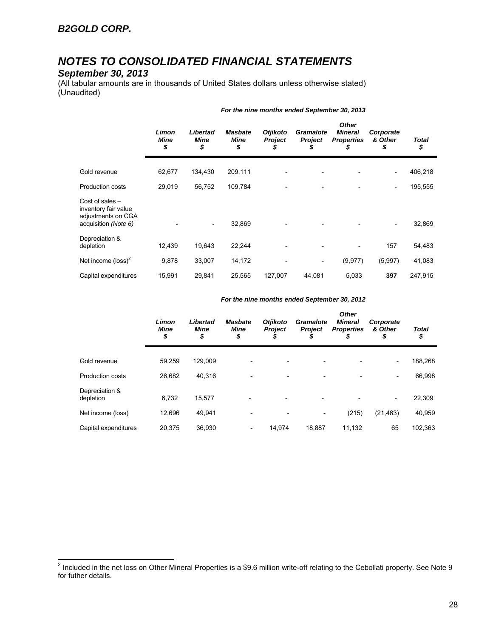# *September 30, 2013*

(All tabular amounts are in thousands of United States dollars unless otherwise stated) (Unaudited)

|                                                                                         | Limon<br>Mine<br>\$ | Libertad<br>Mine<br>\$ | <b>Masbate</b><br>Mine<br>\$ | <b>Otjikoto</b><br>Project | Gramalote<br>Project | <b>Other</b><br><b>Mineral</b><br><b>Properties</b><br>\$ | Corporate<br>& Other<br>\$ | Total<br>\$ |
|-----------------------------------------------------------------------------------------|---------------------|------------------------|------------------------------|----------------------------|----------------------|-----------------------------------------------------------|----------------------------|-------------|
| Gold revenue                                                                            | 62,677              | 134,430                | 209,111                      |                            |                      |                                                           | $\overline{\phantom{a}}$   | 406,218     |
| <b>Production costs</b>                                                                 | 29,019              | 56,752                 | 109,784                      |                            |                      |                                                           | $\overline{\phantom{a}}$   | 195,555     |
| Cost of sales $-$<br>inventory fair value<br>adjustments on CGA<br>acquisition (Note 6) |                     | $\blacksquare$         | 32,869                       |                            |                      |                                                           | $\overline{\phantom{a}}$   | 32,869      |
| Depreciation &<br>depletion                                                             | 12,439              | 19,643                 | 22,244                       |                            |                      |                                                           | 157                        | 54,483      |
| Net income $(\text{loss})^2$                                                            | 9,878               | 33,007                 | 14,172                       |                            |                      | (9, 977)                                                  | (5,997)                    | 41,083      |
| Capital expenditures                                                                    | 15,991              | 29,841                 | 25,565                       | 127,007                    | 44,081               | 5,033                                                     | 397                        | 247,915     |

#### *For the nine months ended September 30, 2013*

 *For the nine months ended September 30, 2012* 

|                             | Limon<br><b>Mine</b><br>\$ | Libertad<br>Mine<br>\$ | <b>Masbate</b><br><b>Mine</b><br>\$ | <b>Otiikoto</b><br><b>Project</b><br>\$ | Gramalote<br><b>Project</b><br>\$ | <b>Other</b><br><b>Mineral</b><br><b>Properties</b><br>\$ | Corporate<br>& Other<br>\$ | <b>Total</b><br>\$ |
|-----------------------------|----------------------------|------------------------|-------------------------------------|-----------------------------------------|-----------------------------------|-----------------------------------------------------------|----------------------------|--------------------|
| Gold revenue                | 59.259                     | 129,009                |                                     |                                         |                                   |                                                           | $\overline{\phantom{a}}$   | 188,268            |
| <b>Production costs</b>     | 26.682                     | 40.316                 |                                     | ۰                                       | $\overline{\phantom{0}}$          |                                                           | $\overline{\phantom{a}}$   | 66,998             |
| Depreciation &<br>depletion | 6,732                      | 15,577                 |                                     |                                         |                                   |                                                           | -                          | 22,309             |
| Net income (loss)           | 12.696                     | 49,941                 |                                     |                                         | -                                 | (215)                                                     | (21, 463)                  | 40,959             |
| Capital expenditures        | 20,375                     | 36,930                 | -                                   | 14,974                                  | 18,887                            | 11,132                                                    | 65                         | 102,363            |

 2 Included in the net loss on Other Mineral Properties is a \$9.6 million write-off relating to the Cebollati property. See Note 9 for futher details.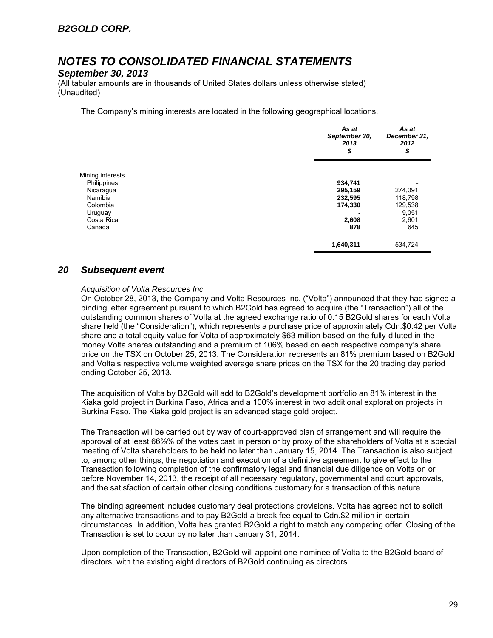## *B2GOLD CORP.*

# *NOTES TO CONSOLIDATED FINANCIAL STATEMENTS*

### *September 30, 2013*

(All tabular amounts are in thousands of United States dollars unless otherwise stated) (Unaudited)

The Company's mining interests are located in the following geographical locations.

|                  | As at<br>September 30,<br>2013<br>\$ | As at<br>December 31,<br>2012<br>\$ |
|------------------|--------------------------------------|-------------------------------------|
| Mining interests |                                      |                                     |
| Philippines      | 934,741                              |                                     |
| Nicaragua        | 295,159                              | 274,091                             |
| Namibia          | 232,595                              | 118,798                             |
| Colombia         | 174,330                              | 129,538                             |
| Uruguay          |                                      | 9,051                               |
| Costa Rica       | 2,608                                | 2,601                               |
| Canada           | 878                                  | 645                                 |
|                  | 1,640,311                            | 534,724                             |

### *20 Subsequent event*

#### *Acquisition of Volta Resources Inc.*

On October 28, 2013, the Company and Volta Resources Inc. ("Volta") announced that they had signed a binding letter agreement pursuant to which B2Gold has agreed to acquire (the "Transaction") all of the outstanding common shares of Volta at the agreed exchange ratio of 0.15 B2Gold shares for each Volta share held (the "Consideration"), which represents a purchase price of approximately Cdn.\$0.42 per Volta share and a total equity value for Volta of approximately \$63 million based on the fully-diluted in-themoney Volta shares outstanding and a premium of 106% based on each respective company's share price on the TSX on October 25, 2013. The Consideration represents an 81% premium based on B2Gold and Volta's respective volume weighted average share prices on the TSX for the 20 trading day period ending October 25, 2013.

The acquisition of Volta by B2Gold will add to B2Gold's development portfolio an 81% interest in the Kiaka gold project in Burkina Faso, Africa and a 100% interest in two additional exploration projects in Burkina Faso. The Kiaka gold project is an advanced stage gold project.

The Transaction will be carried out by way of court-approved plan of arrangement and will require the approval of at least 66⅔% of the votes cast in person or by proxy of the shareholders of Volta at a special meeting of Volta shareholders to be held no later than January 15, 2014. The Transaction is also subject to, among other things, the negotiation and execution of a definitive agreement to give effect to the Transaction following completion of the confirmatory legal and financial due diligence on Volta on or before November 14, 2013, the receipt of all necessary regulatory, governmental and court approvals, and the satisfaction of certain other closing conditions customary for a transaction of this nature.

The binding agreement includes customary deal protections provisions. Volta has agreed not to solicit any alternative transactions and to pay B2Gold a break fee equal to Cdn.\$2 million in certain circumstances. In addition, Volta has granted B2Gold a right to match any competing offer. Closing of the Transaction is set to occur by no later than January 31, 2014.

Upon completion of the Transaction, B2Gold will appoint one nominee of Volta to the B2Gold board of directors, with the existing eight directors of B2Gold continuing as directors.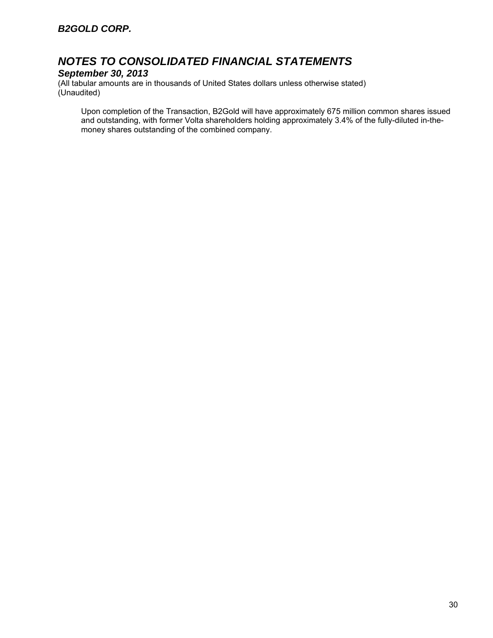*September 30, 2013* 

(All tabular amounts are in thousands of United States dollars unless otherwise stated) (Unaudited)

Upon completion of the Transaction, B2Gold will have approximately 675 million common shares issued and outstanding, with former Volta shareholders holding approximately 3.4% of the fully-diluted in-themoney shares outstanding of the combined company.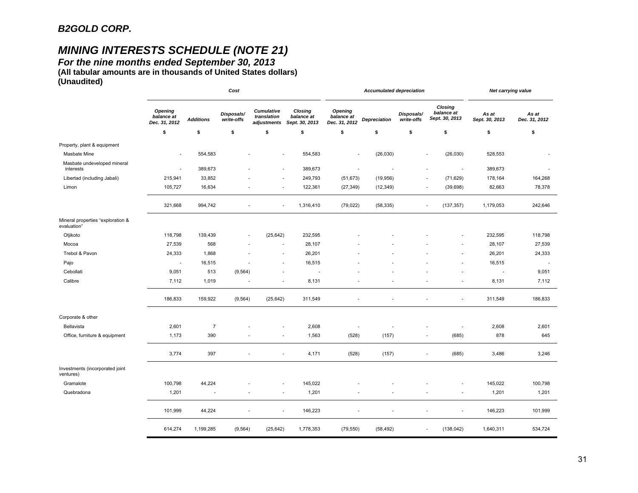# *MINING INTERESTS SCHEDULE (NOTE 21)*

*For the nine months ended September 30, 2013* 

**(All tabular amounts are in thousands of United States dollars) (Unaudited)**

|                                                  | Cost                                          |                  |                          |                                                 |                                         |                                        | <b>Accumulated depreciation</b> | Net carrying value       |                                                |                         |                        |
|--------------------------------------------------|-----------------------------------------------|------------------|--------------------------|-------------------------------------------------|-----------------------------------------|----------------------------------------|---------------------------------|--------------------------|------------------------------------------------|-------------------------|------------------------|
|                                                  | <b>Opening</b><br>balance at<br>Dec. 31, 2012 | <b>Additions</b> | Disposals/<br>write-offs | <b>Cumulative</b><br>translation<br>adjustments | Closing<br>balance at<br>Sept. 30, 2013 | Opening<br>balance at<br>Dec. 31, 2012 | Depreciation                    | Disposals/<br>write-offs | <b>Closing</b><br>balance at<br>Sept. 30, 2013 | As at<br>Sept. 30, 2013 | As at<br>Dec. 31, 2012 |
|                                                  | \$                                            | \$               | \$                       | \$                                              | \$                                      | \$                                     | \$                              | \$                       | \$                                             | \$                      | \$                     |
| Property, plant & equipment                      |                                               |                  |                          |                                                 |                                         |                                        |                                 |                          |                                                |                         |                        |
| Masbate Mine                                     | $\blacksquare$                                | 554,583          |                          |                                                 | 554,583                                 | $\overline{\phantom{a}}$               | (26, 030)                       |                          | (26, 030)                                      | 528,553                 |                        |
| Masbate undeveloped mineral<br>interests         | ä,                                            | 389,673          |                          |                                                 | 389,673                                 |                                        |                                 |                          | ä,                                             | 389,673                 |                        |
| Libertad (including Jabali)                      | 215,941                                       | 33,852           |                          |                                                 | 249,793                                 | (51, 673)                              | (19,956)                        |                          | (71, 629)                                      | 178,164                 | 164,268                |
| Limon                                            | 105,727                                       | 16,634           |                          |                                                 | 122,361                                 | (27, 349)                              | (12, 349)                       |                          | (39, 698)                                      | 82,663                  | 78,378                 |
|                                                  | 321,668                                       | 994,742          |                          |                                                 | 1,316,410                               | (79, 022)                              | (58, 335)                       |                          | (137, 357)<br>ä,                               | 1,179,053               | 242,646                |
| Mineral properties "exploration &<br>evaluation" |                                               |                  |                          |                                                 |                                         |                                        |                                 |                          |                                                |                         |                        |
| Otjikoto                                         | 118,798                                       | 139,439          | $\overline{\phantom{a}}$ | (25, 642)                                       | 232,595                                 |                                        |                                 |                          |                                                | 232,595                 | 118,798                |
| Mocoa                                            | 27,539                                        | 568              |                          | ٠                                               | 28,107                                  |                                        |                                 |                          |                                                | 28,107                  | 27,539                 |
| Trebol & Pavon                                   | 24,333                                        | 1,868            |                          |                                                 | 26,201                                  |                                        |                                 |                          |                                                | 26,201                  | 24,333                 |
| Pajo                                             | ÷.                                            | 16,515           |                          |                                                 | 16,515                                  |                                        |                                 |                          |                                                | 16,515                  |                        |
| Cebollati                                        | 9,051                                         | 513              | (9, 564)                 |                                                 |                                         |                                        |                                 |                          |                                                | $\sim$                  | 9,051                  |
| Calibre                                          | 7,112                                         | 1,019            |                          | $\overline{\phantom{a}}$                        | 8,131                                   |                                        |                                 |                          |                                                | 8,131                   | 7,112                  |
|                                                  | 186,833                                       | 159,922          | (9, 564)                 | (25, 642)                                       | 311,549                                 |                                        |                                 |                          | $\sim$<br>٠                                    | 311,549                 | 186,833                |
| Corporate & other                                |                                               |                  |                          |                                                 |                                         |                                        |                                 |                          |                                                |                         |                        |
| Bellavista                                       | 2,601                                         | $\overline{7}$   |                          |                                                 | 2,608                                   |                                        |                                 |                          | ÷,                                             | 2,608                   | 2,601                  |
| Office, furniture & equipment                    | 1,173                                         | 390              |                          |                                                 | 1,563                                   | (528)                                  | (157)                           |                          | (685)<br>ä,                                    | 878                     | 645                    |
|                                                  | 3,774                                         | 397              | ä,                       | $\sim$                                          | 4,171                                   | (528)                                  | (157)                           |                          | (685)<br>ä,                                    | 3,486                   | 3,246                  |
| Investments (incorporated joint<br>ventures)     |                                               |                  |                          |                                                 |                                         |                                        |                                 |                          |                                                |                         |                        |
| Gramalote                                        | 100,798                                       | 44,224           |                          |                                                 | 145,022                                 |                                        |                                 |                          |                                                | 145,022                 | 100,798                |
| Quebradona                                       | 1,201                                         | $\sim$           |                          |                                                 | 1,201                                   |                                        |                                 |                          | $\sim$                                         | 1,201                   | 1,201                  |
|                                                  | 101,999                                       | 44,224           | ä,                       | $\sim$                                          | 146,223                                 |                                        |                                 |                          | $\blacksquare$<br>ä,                           | 146,223                 | 101,999                |
|                                                  | 614,274                                       | 1,199,285        | (9, 564)                 | (25, 642)                                       | 1,778,353                               | (79, 550)                              | (58, 492)                       |                          | (138, 042)<br>$\sim$                           | 1,640,311               | 534,724                |